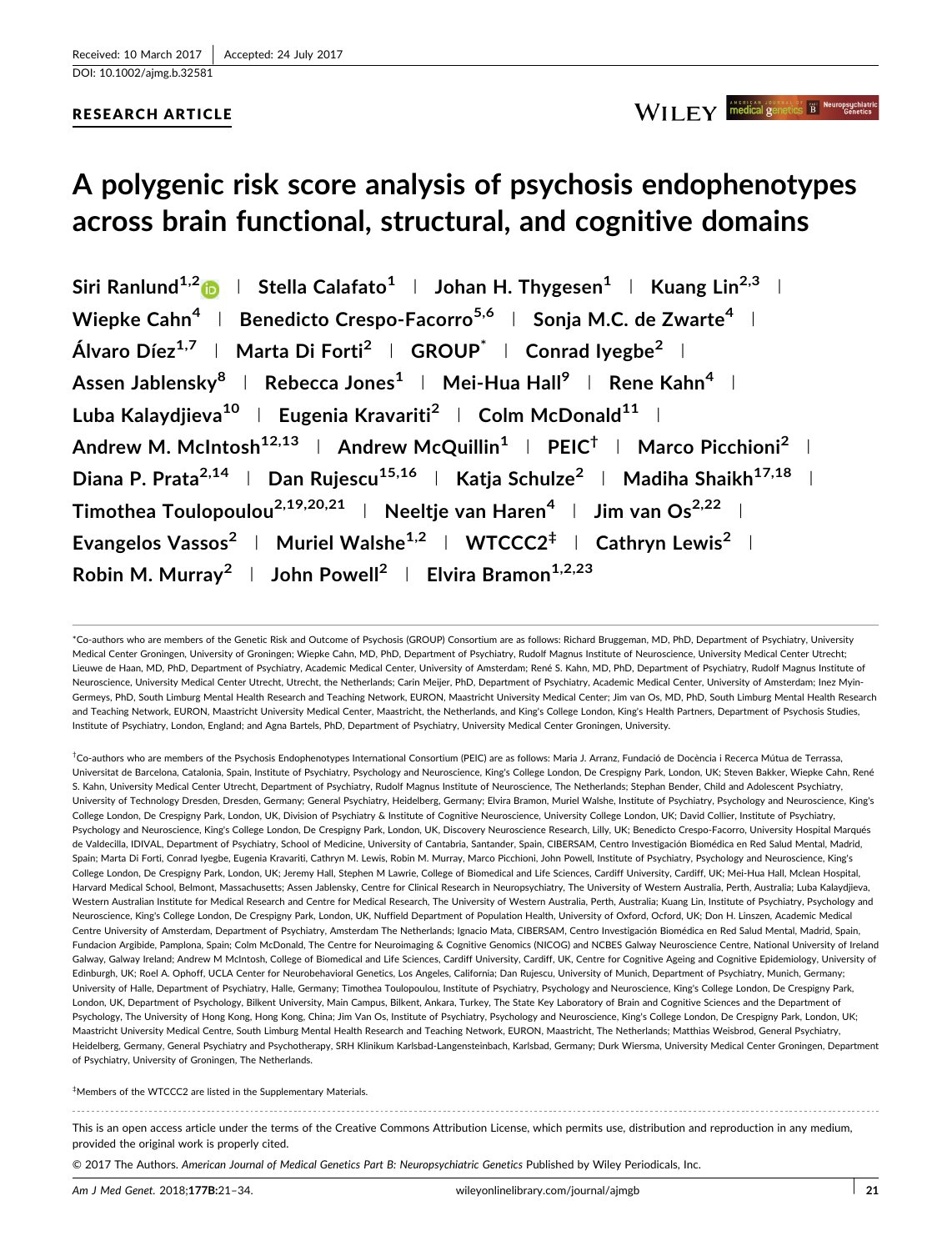## RESEARCH ARTICLE



# A polygenic risk score analysis of psychosis endophenotypes across brain functional, structural, and cognitive domains

Siri Ranlund<sup>1,[2](http://orcid.org/0000-0003-2899-6746)</sup>  $\blacksquare$  | Stella Calafato<sup>1</sup> | Johan H. Thygesen<sup>1</sup> | Kuang Lin<sup>2,3</sup> | Wiepke Cahn<sup>4</sup> | Benedicto Crespo-Facorro<sup>5,6</sup> | Sonja M.C. de Zwarte<sup>4</sup> | Álvaro Díez<sup>1,7</sup> | Marta Di Forti<sup>2</sup> | GROUP<sup>\*</sup> | Conrad Iyegbe<sup>2</sup> | Assen Jablensky<sup>8</sup> | Rebecca Jones<sup>1</sup> | Mei-Hua Hall<sup>9</sup> | Rene Kahn<sup>4</sup> | Luba Kalaydiieva<sup>10</sup> | Eugenia Kravariti<sup>2</sup> | Colm McDonald<sup>11</sup> | Andrew M. McIntosh<sup>12,13</sup> | Andrew McQuillin<sup>1</sup> | PEIC<sup>†</sup> | Marco Picchioni<sup>2</sup> | Diana P. Prata<sup>2,14</sup> | Dan Rujescu<sup>15,16</sup> | Katja Schulze<sup>2</sup> | Madiha Shaikh<sup>17,18</sup> | Timothea Toulopoulou<sup>2,19,20,21</sup> | Neeltje van Haren<sup>4</sup> | Jim van Os<sup>2,22</sup> | Evangelos Vassos<sup>2</sup> | Muriel Walshe<sup>1,2</sup> | WTCCC2<sup>‡</sup> | Cathryn Lewis<sup>2</sup> | Robin M. Murray<sup>2</sup> | John Powell<sup>2</sup> | Elvira Bramon<sup>1,2,23</sup>

<sup>†</sup>Co-authors who are members of the Psychosis Endophenotypes International Consortium (PEIC) are as follows: Maria J. Arranz, Fundació de Docència i Recerca Mútua de Terrassa Universitat de Barcelona, Catalonia, Spain, Institute of Psychiatry, Psychology and Neuroscience, King's College London, De Crespigny Park, London, UK; Steven Bakker, Wiepke Cahn, René S. Kahn, University Medical Center Utrecht, Department of Psychiatry, Rudolf Magnus Institute of Neuroscience, The Netherlands; Stephan Bender, Child and Adolescent Psychiatry, University of Technology Dresden, Dresden, Germany; General Psychiatry, Heidelberg, Germany; Elvira Bramon, Muriel Walshe, Institute of Psychiatry, Psychology and Neuroscience, King's College London, De Crespigny Park, London, UK, Division of Psychiatry & Institute of Cognitive Neuroscience, University College London, UK; David Collier, Institute of Psychiatry, Psychology and Neuroscience, King's College London, De Crespigny Park, London, UK, Discovery Neuroscience Research, Lilly, UK; Benedicto Crespo-Facorro, University Hospital Marqués de Valdecilla, IDIVAL, Department of Psychiatry, School of Medicine, University of Cantabria, Santander, Spain, CIBERSAM, Centro Investigación Biomédica en Red Salud Mental, Madrid, Spain; Marta Di Forti, Conrad Iyegbe, Eugenia Kravariti, Cathryn M. Lewis, Robin M. Murray, Marco Picchioni, John Powell, Institute of Psychiatry, Psychology and Neuroscience, King's College London, De Crespigny Park, London, UK; Jeremy Hall, Stephen M Lawrie, College of Biomedical and Life Sciences, Cardiff University, Cardiff, UK; Mei-Hua Hall, Mclean Hospital, Harvard Medical School, Belmont, Massachusetts; Assen Jablensky, Centre for Clinical Research in Neuropsychiatry, The University of Western Australia, Perth, Australia; Luba Kalaydjieva, Western Australian Institute for Medical Research and Centre for Medical Research, The University of Western Australia, Perth, Australia; Kuang Lin, Institute of Psychiatry, Psychology and Neuroscience, King's College London, De Crespigny Park, London, UK, Nuffield Department of Population Health, University of Oxford, Ocford, UK; Don H. Linszen, Academic Medical Centre University of Amsterdam, Department of Psychiatry, Amsterdam The Netherlands; Ignacio Mata, CIBERSAM, Centro Investigación Biomédica en Red Salud Mental, Madrid, Spain, Fundacion Argibide, Pamplona, Spain; Colm McDonald, The Centre for Neuroimaging & Cognitive Genomics (NICOG) and NCBES Galway Neuroscience Centre, National University of Ireland Galway, Galway Ireland; Andrew M McIntosh, College of Biomedical and Life Sciences, Cardiff University, Cardiff, UK, Centre for Cognitive Ageing and Cognitive Epidemiology, University of Edinburgh, UK; Roel A. Ophoff, UCLA Center for Neurobehavioral Genetics, Los Angeles, California; Dan Rujescu, University of Munich, Department of Psychiatry, Munich, Germany; University of Halle, Department of Psychiatry, Halle, Germany; Timothea Toulopoulou, Institute of Psychiatry, Psychology and Neuroscience, King's College London, De Crespigny Park, London, UK, Department of Psychology, Bilkent University, Main Campus, Bilkent, Ankara, Turkey, The State Key Laboratory of Brain and Cognitive Sciences and the Department of Psychology, The University of Hong Kong, Hong Kong, China; Jim Van Os, Institute of Psychiatry, Psychology and Neuroscience, King's College London, De Crespigny Park, London, UK; Maastricht University Medical Centre, South Limburg Mental Health Research and Teaching Network, EURON, Maastricht, The Netherlands; Matthias Weisbrod, General Psychiatry, Heidelberg, Germany, General Psychiatry and Psychotherapy, SRH Klinikum Karlsbad-Langensteinbach, Karlsbad, Germany; Durk Wiersma, University Medical Center Groningen, Department of Psychiatry, University of Groningen, The Netherlands.

‡ Members of the WTCCC2 are listed in the Supplementary Materials.

This is an open access article under the terms of the [Creative Commons Attribution](http://creativecommons.org/licenses/by/4.0/) License, which permits use, distribution and reproduction in any medium,

© 2017 The Authors. American Journal of Medical Genetics Part B: Neuropsychiatric Genetics Published by Wiley Periodicals, Inc.

provided the original work is properly cited.

<sup>\*</sup>Co-authors who are members of the Genetic Risk and Outcome of Psychosis (GROUP) Consortium are as follows: Richard Bruggeman, MD, PhD, Department of Psychiatry, University Medical Center Groningen, University of Groningen; Wiepke Cahn, MD, PhD, Department of Psychiatry, Rudolf Magnus Institute of Neuroscience, University Medical Center Utrecht; Lieuwe de Haan, MD, PhD, Department of Psychiatry, Academic Medical Center, University of Amsterdam; René S. Kahn, MD, PhD, Department of Psychiatry, Rudolf Magnus Institute of Neuroscience, University Medical Center Utrecht, Utrecht, the Netherlands; Carin Meijer, PhD, Department of Psychiatry, Academic Medical Center, University of Amsterdam; Inez Myin-Germeys, PhD, South Limburg Mental Health Research and Teaching Network, EURON, Maastricht University Medical Center; Jim van Os, MD, PhD, South Limburg Mental Health Research and Teaching Network, EURON, Maastricht University Medical Center, Maastricht, the Netherlands, and King's College London, King's Health Partners, Department of Psychosis Studies, Institute of Psychiatry, London, England; and Agna Bartels, PhD, Department of Psychiatry, University Medical Center Groningen, University.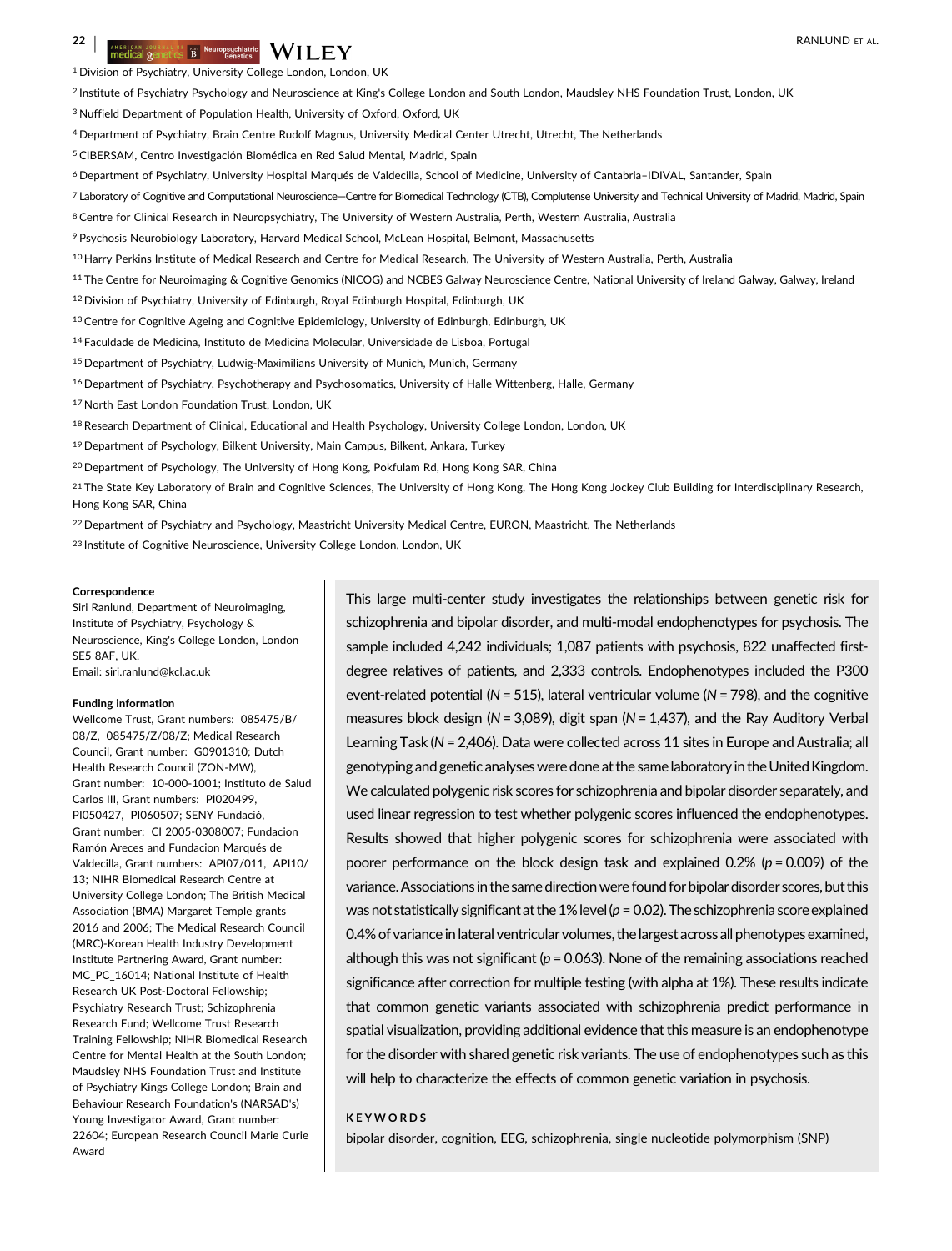<sup>1</sup> Division of Psychiatry, University College London, London, UK

<sup>2</sup> Institute of Psychiatry Psychology and Neuroscience at King's College London and South London, Maudsley NHS Foundation Trust, London, UK

<sup>3</sup> Nuffield Department of Population Health, University of Oxford, Oxford, UK

<sup>4</sup> Department of Psychiatry, Brain Centre Rudolf Magnus, University Medical Center Utrecht, Utrecht, The Netherlands

5CIBERSAM, Centro Investigación Biomédica en Red Salud Mental, Madrid, Spain

<sup>6</sup> Department of Psychiatry, University Hospital Marqués de Valdecilla, School of Medicine, University of Cantabria–IDIVAL, Santander, Spain

7 Laboratory of Cognitive and Computational Neuroscience—Centre for Biomedical Technology (CTB), Complutense University and Technical University of Madrid, Madrid, Spain

8 Centre for Clinical Research in Neuropsychiatry, The University of Western Australia, Perth, Western Australia, Australia

<sup>9</sup> Psychosis Neurobiology Laboratory, Harvard Medical School, McLean Hospital, Belmont, Massachusetts

10 Harry Perkins Institute of Medical Research and Centre for Medical Research, The University of Western Australia, Perth, Australia

<sup>11</sup> The Centre for Neuroimaging & Cognitive Genomics (NICOG) and NCBES Galway Neuroscience Centre, National University of Ireland Galway, Galway, Ireland

<sup>12</sup> Division of Psychiatry, University of Edinburgh, Royal Edinburgh Hospital, Edinburgh, UK

13 Centre for Cognitive Ageing and Cognitive Epidemiology, University of Edinburgh, Edinburgh, UK

<sup>14</sup> Faculdade de Medicina, Instituto de Medicina Molecular, Universidade de Lisboa, Portugal

<sup>15</sup> Department of Psychiatry, Ludwig-Maximilians University of Munich, Munich, Germany

<sup>16</sup> Department of Psychiatry, Psychotherapy and Psychosomatics, University of Halle Wittenberg, Halle, Germany

<sup>17</sup> North East London Foundation Trust, London, UK

18 Research Department of Clinical, Educational and Health Psychology, University College London, London, UK

<sup>19</sup> Department of Psychology, Bilkent University, Main Campus, Bilkent, Ankara, Turkey

<sup>20</sup> Department of Psychology, The University of Hong Kong, Pokfulam Rd, Hong Kong SAR, China

<sup>21</sup> The State Key Laboratory of Brain and Cognitive Sciences, The University of Hong Kong, The Hong Kong Jockey Club Building for Interdisciplinary Research, Hong Kong SAR, China

<sup>22</sup> Department of Psychiatry and Psychology, Maastricht University Medical Centre, EURON, Maastricht, The Netherlands

<sup>23</sup> Institute of Cognitive Neuroscience, University College London, London, UK

#### **Correspondence**

Siri Ranlund, Department of Neuroimaging, Institute of Psychiatry, Psychology & Neuroscience, King's College London, London SE5 8AF, UK. Email: siri.ranlund@kcl.ac.uk

#### Funding information

Wellcome Trust, Grant numbers: 085475/B/ 08/Z, 085475/Z/08/Z; Medical Research Council, Grant number: G0901310; Dutch Health Research Council (ZON-MW), Grant number: 10-000-1001; Instituto de Salud Carlos III, Grant numbers: PI020499, PI050427, PI060507; SENY Fundació, Grant number: CI 2005-0308007; Fundacion Ramón Areces and Fundacion Marqués de Valdecilla, Grant numbers: API07/011, API10/ 13; NIHR Biomedical Research Centre at University College London; The British Medical Association (BMA) Margaret Temple grants 2016 and 2006; The Medical Research Council (MRC)-Korean Health Industry Development Institute Partnering Award, Grant number: MC\_PC\_16014; National Institute of Health Research UK Post-Doctoral Fellowship; Psychiatry Research Trust; Schizophrenia Research Fund; Wellcome Trust Research Training Fellowship; NIHR Biomedical Research Centre for Mental Health at the South London; Maudsley NHS Foundation Trust and Institute of Psychiatry Kings College London; Brain and Behaviour Research Foundation's (NARSAD's) Young Investigator Award, Grant number: 22604; European Research Council Marie Curie Award

This large multi-center study investigates the relationships between genetic risk for schizophrenia and bipolar disorder, and multi-modal endophenotypes for psychosis. The sample included 4,242 individuals; 1,087 patients with psychosis, 822 unaffected firstdegree relatives of patients, and 2,333 controls. Endophenotypes included the P300 event-related potential ( $N = 515$ ), lateral ventricular volume ( $N = 798$ ), and the cognitive measures block design ( $N = 3,089$ ), digit span ( $N = 1,437$ ), and the Ray Auditory Verbal Learning Task (N = 2,406). Data were collected across 11 sites in Europe and Australia; all genotyping and genetic analyses were done at the same laboratory in the UnitedKingdom. We calculated polygenic risk scores for schizophrenia and bipolar disorder separately, and used linear regression to test whether polygenic scores influenced the endophenotypes. Results showed that higher polygenic scores for schizophrenia were associated with poorer performance on the block design task and explained  $0.2\%$  ( $p = 0.009$ ) of the variance.Associations in the same directionwere found for bipolar disorder scores, but this was not statistically significant at the 1% level ( $p = 0.02$ ). The schizophrenia score explained 0.4% of variance in lateral ventricular volumes, the largest across all phenotypes examined, although this was not significant ( $p = 0.063$ ). None of the remaining associations reached significance after correction for multiple testing (with alpha at 1%). These results indicate that common genetic variants associated with schizophrenia predict performance in spatial visualization, providing additional evidence that this measure is an endophenotype for the disorder with shared genetic risk variants. The use of endophenotypes such as this will help to characterize the effects of common genetic variation in psychosis.

#### KEYWORDS

bipolar disorder, cognition, EEG, schizophrenia, single nucleotide polymorphism (SNP)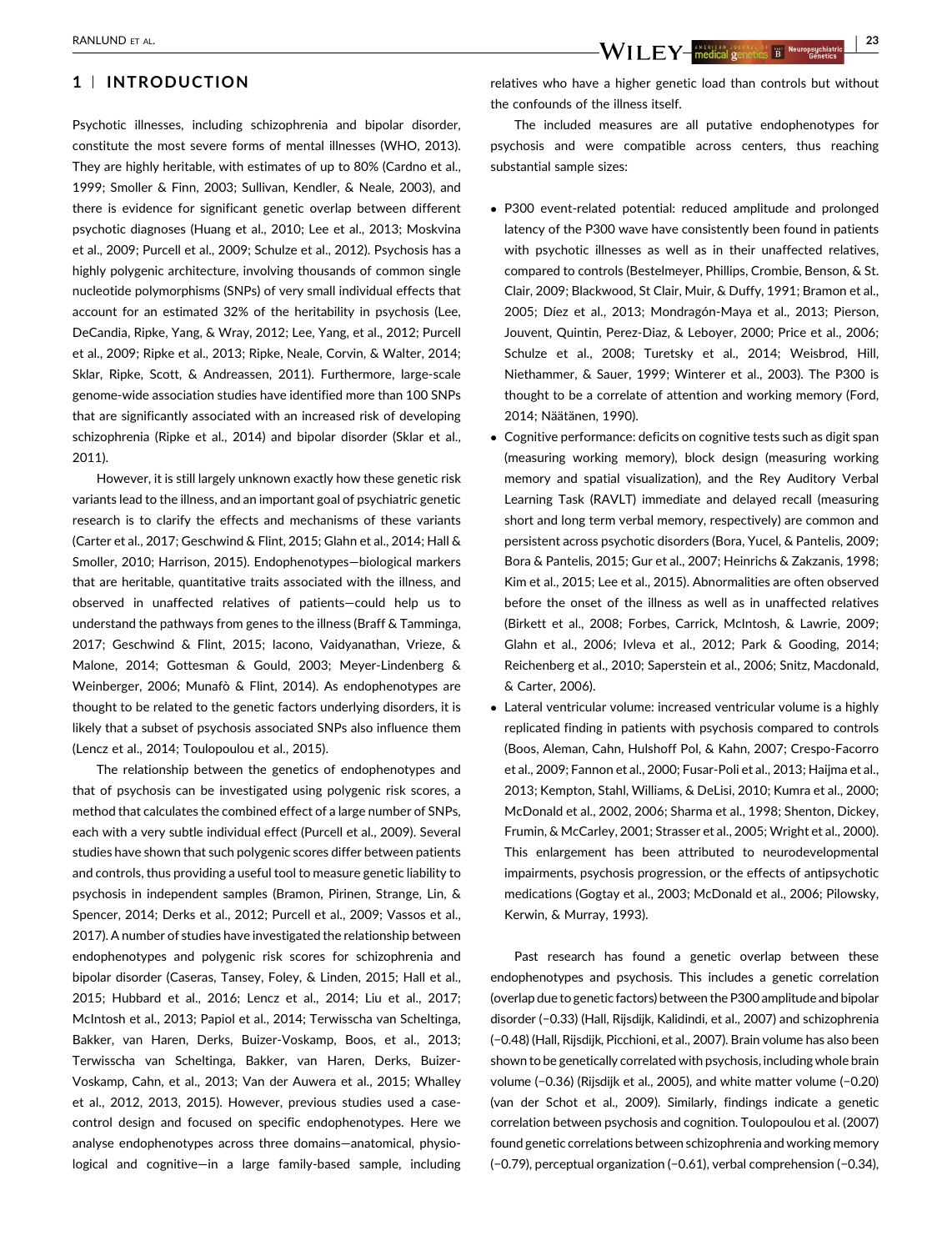## 1 <sup>|</sup> INTRODUCTION

Psychotic illnesses, including schizophrenia and bipolar disorder, constitute the most severe forms of mental illnesses (WHO, [2013](#page-13-0)). They are highly heritable, with estimates of up to 80% (Cardno et al., [1999;](#page-9-0) Smoller & Finn, [2003](#page-12-0); Sullivan, Kendler, & Neale, [2003](#page-12-0)), and there is evidence for significant genetic overlap between different psychotic diagnoses (Huang et al., [2010](#page-10-0); Lee et al., [2013;](#page-11-0) Moskvina et al., [2009;](#page-11-0) Purcell et al., [2009](#page-11-0); Schulze et al., [2012\)](#page-12-0). Psychosis has a highly polygenic architecture, involving thousands of common single nucleotide polymorphisms (SNPs) of very small individual effects that account for an estimated 32% of the heritability in psychosis (Lee, DeCandia, Ripke, Yang, & Wray, [2012;](#page-11-0) Lee, Yang, et al., [2012](#page-11-0); Purcell et al., [2009](#page-11-0); Ripke et al., [2013](#page-12-0); Ripke, Neale, Corvin, & Walter, [2014](#page-12-0); Sklar, Ripke, Scott, & Andreassen, [2011\)](#page-12-0). Furthermore, large-scale genome-wide association studies have identified more than 100 SNPs that are significantly associated with an increased risk of developing schizophrenia (Ripke et al., [2014](#page-12-0)) and bipolar disorder (Sklar et al., [2011\)](#page-12-0)

However, it is still largely unknown exactly how these genetic risk variants lead to the illness, and an important goal of psychiatric genetic research is to clarify the effects and mechanisms of these variants (Carter et al., [2017;](#page-9-0) Geschwind & Flint, [2015](#page-10-0); Glahn et al., [2014;](#page-10-0) Hall & Smoller, [2010;](#page-10-0) Harrison, [2015](#page-10-0)). Endophenotypes—biological markers that are heritable, quantitative traits associated with the illness, and observed in unaffected relatives of patients—could help us to understand the pathways from genes to the illness (Braff & Tamminga, [2017;](#page-9-0) Geschwind & Flint, [2015;](#page-10-0) Iacono, Vaidyanathan, Vrieze, & Malone, [2014](#page-10-0); Gottesman & Gould, [2003](#page-10-0); Meyer-Lindenberg & Weinberger, [2006;](#page-11-0) Munafò & Flint, [2014](#page-11-0)). As endophenotypes are thought to be related to the genetic factors underlying disorders, it is likely that a subset of psychosis associated SNPs also influence them (Lencz et al., [2014](#page-11-0); Toulopoulou et al., [2015\)](#page-12-0).

The relationship between the genetics of endophenotypes and that of psychosis can be investigated using polygenic risk scores, a method that calculates the combined effect of a large number of SNPs, each with a very subtle individual effect (Purcell et al., [2009](#page-11-0)). Several studies have shown that such polygenic scores differ between patients and controls, thus providing a useful tool to measure genetic liability to psychosis in independent samples (Bramon, Pirinen, Strange, Lin, & Spencer, [2014;](#page-9-0) Derks et al., [2012](#page-9-0); Purcell et al., [2009](#page-11-0); Vassos et al., [2017\)](#page-12-0). A number of studies have investigated the relationship between endophenotypes and polygenic risk scores for schizophrenia and bipolar disorder (Caseras, Tansey, Foley, & Linden, [2015](#page-9-0); Hall et al., [2015;](#page-10-0) Hubbard et al., [2016](#page-10-0); Lencz et al., [2014](#page-11-0); Liu et al., [2017](#page-11-0); McIntosh et al., [2013](#page-11-0); Papiol et al., [2014](#page-11-0); Terwisscha van Scheltinga, Bakker, van Haren, Derks, Buizer-Voskamp, Boos, et al., [2013](#page-12-0); Terwisscha van Scheltinga, Bakker, van Haren, Derks, Buizer-Voskamp, Cahn, et al., [2013;](#page-12-0) Van der Auwera et al., [2015;](#page-12-0) Whalley et al., [2012, 2013](#page-13-0), [2015](#page-13-0)). However, previous studies used a casecontrol design and focused on specific endophenotypes. Here we analyse endophenotypes across three domains—anatomical, physiological and cognitive—in a large family-based sample, including

relatives who have a higher genetic load than controls but without the confounds of the illness itself.

The included measures are all putative endophenotypes for psychosis and were compatible across centers, thus reaching substantial sample sizes:

- P300 event-related potential: reduced amplitude and prolonged latency of the P300 wave have consistently been found in patients with psychotic illnesses as well as in their unaffected relatives, compared to controls (Bestelmeyer, Phillips, Crombie, Benson, & St. Clair, [2009;](#page-9-0) Blackwood, St Clair, Muir, & Duffy, [1991](#page-9-0); Bramon et al., [2005](#page-9-0); Díez et al., [2013](#page-9-0); Mondragón-Maya et al., [2013](#page-11-0); Pierson, Jouvent, Quintin, Perez-Diaz, & Leboyer, [2000](#page-11-0); Price et al., [2006;](#page-11-0) Schulze et al., [2008](#page-12-0); Turetsky et al., [2014](#page-12-0); Weisbrod, Hill, Niethammer, & Sauer, [1999;](#page-13-0) Winterer et al., [2003\)](#page-13-0). The P300 is thought to be a correlate of attention and working memory (Ford, [2014](#page-10-0); Näätänen, [1990\)](#page-11-0).
- Cognitive performance: deficits on cognitive tests such as digit span (measuring working memory), block design (measuring working memory and spatial visualization), and the Rey Auditory Verbal Learning Task (RAVLT) immediate and delayed recall (measuring short and long term verbal memory, respectively) are common and persistent across psychotic disorders (Bora, Yucel, & Pantelis, [2009;](#page-9-0) Bora & Pantelis, [2015](#page-9-0); Gur et al., [2007;](#page-10-0) Heinrichs & Zakzanis, [1998;](#page-10-0) Kim et al., [2015](#page-10-0); Lee et al., [2015](#page-11-0)). Abnormalities are often observed before the onset of the illness as well as in unaffected relatives (Birkett et al., [2008](#page-9-0); Forbes, Carrick, McIntosh, & Lawrie, [2009;](#page-10-0) Glahn et al., [2006;](#page-10-0) Ivleva et al., [2012;](#page-10-0) Park & Gooding, [2014;](#page-11-0) Reichenberg et al., [2010](#page-11-0); Saperstein et al., [2006;](#page-12-0) Snitz, Macdonald, & Carter, [2006\)](#page-12-0).
- Lateral ventricular volume: increased ventricular volume is a highly replicated finding in patients with psychosis compared to controls (Boos, Aleman, Cahn, Hulshoff Pol, & Kahn, [2007](#page-9-0); Crespo-Facorro et al., [2009;](#page-9-0) Fannon et al., [2000](#page-9-0); Fusar-Poli et al., [2013](#page-10-0); Haijma et al., [2013](#page-10-0); Kempton, Stahl, Williams, & DeLisi, [2010](#page-10-0); Kumra et al., [2000;](#page-11-0) McDonald et al., [2002](#page-11-0), [2006;](#page-11-0) Sharma et al., [1998;](#page-12-0) Shenton, Dickey, Frumin, & McCarley, [2001;](#page-12-0) Strasser et al., [2005;](#page-12-0) Wright et al., [2000\)](#page-13-0). This enlargement has been attributed to neurodevelopmental impairments, psychosis progression, or the effects of antipsychotic medications (Gogtay et al., [2003;](#page-10-0) McDonald et al., [2006;](#page-11-0) Pilowsky, Kerwin, & Murray, [1993\)](#page-11-0).

Past research has found a genetic overlap between these endophenotypes and psychosis. This includes a genetic correlation (overlap due to genetic factors) between the P300 amplitude and bipolar disorder (−0.33) (Hall, Rijsdijk, Kalidindi, et al., [2007](#page-10-0)) and schizophrenia (−0.48) (Hall, Rijsdijk, Picchioni, et al., [2007\)](#page-10-0). Brain volume has also been shown to be genetically correlated with psychosis, including whole brain volume (−0.36) (Rijsdijk et al., [2005](#page-12-0)), and white matter volume (−0.20) (van der Schot et al., [2009](#page-12-0)). Similarly, findings indicate a genetic correlation between psychosis and cognition. Toulopoulou et al. [\(2007\)](#page-12-0) found genetic correlations between schizophrenia and working memory (−0.79), perceptual organization (−0.61), verbal comprehension (−0.34),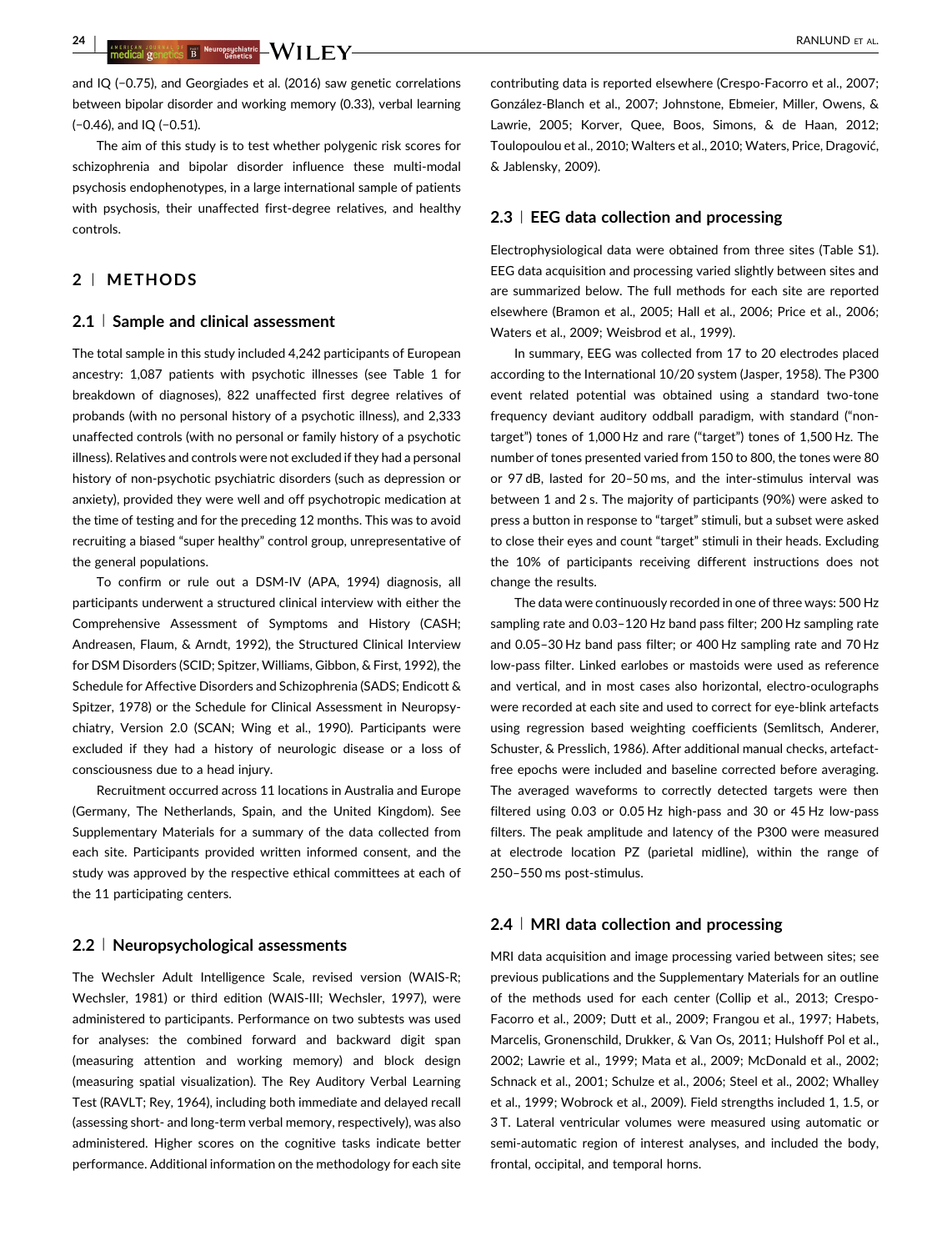24 | ANSKLEAR JOURNAL OF THE NEUTROPSICHISTIC NUMBER AL.<br>The dical genetics B Genetics Condition of the service condition of the service of the service of the services

and IQ (−0.75), and Georgiades et al. [\(2016\)](#page-10-0) saw genetic correlations between bipolar disorder and working memory (0.33), verbal learning (−0.46), and IQ (−0.51).

The aim of this study is to test whether polygenic risk scores for schizophrenia and bipolar disorder influence these multi-modal psychosis endophenotypes, in a large international sample of patients with psychosis, their unaffected first-degree relatives, and healthy controls.

## 2 <sup>|</sup> METHODS

#### 2.1 Sample and clinical assessment

The total sample in this study included 4,242 participants of European ancestry: 1,087 patients with psychotic illnesses (see Table [1](#page-4-0) for breakdown of diagnoses), 822 unaffected first degree relatives of probands (with no personal history of a psychotic illness), and 2,333 unaffected controls (with no personal or family history of a psychotic illness). Relatives and controls were not excluded if they had a personal history of non-psychotic psychiatric disorders (such as depression or anxiety), provided they were well and off psychotropic medication at the time of testing and for the preceding 12 months. This was to avoid recruiting a biased "super healthy" control group, unrepresentative of the general populations.

To confirm or rule out a DSM-IV (APA, [1994\)](#page-9-0) diagnosis, all participants underwent a structured clinical interview with either the Comprehensive Assessment of Symptoms and History (CASH; Andreasen, Flaum, & Arndt, [1992\)](#page-9-0), the Structured Clinical Interview for DSM Disorders (SCID; Spitzer, Williams, Gibbon, & First, [1992](#page-12-0)), the Schedule for Affective Disorders and Schizophrenia (SADS; Endicott & Spitzer, [1978\)](#page-9-0) or the Schedule for Clinical Assessment in Neuropsychiatry, Version 2.0 (SCAN; Wing et al., [1990](#page-13-0)). Participants were excluded if they had a history of neurologic disease or a loss of consciousness due to a head injury.

Recruitment occurred across 11 locations in Australia and Europe (Germany, The Netherlands, Spain, and the United Kingdom). See Supplementary Materials for a summary of the data collected from each site. Participants provided written informed consent, and the study was approved by the respective ethical committees at each of the 11 participating centers.

#### 2.2 <sup>|</sup> Neuropsychological assessments

The Wechsler Adult Intelligence Scale, revised version (WAIS-R; Wechsler, [1981\)](#page-13-0) or third edition (WAIS-III; Wechsler, [1997](#page-13-0)), were administered to participants. Performance on two subtests was used for analyses: the combined forward and backward digit span (measuring attention and working memory) and block design (measuring spatial visualization). The Rey Auditory Verbal Learning Test (RAVLT; Rey, [1964](#page-12-0)), including both immediate and delayed recall (assessing short- and long-term verbal memory, respectively), was also administered. Higher scores on the cognitive tasks indicate better performance. Additional information on the methodology for each site

contributing data is reported elsewhere (Crespo-Facorro et al., [2007;](#page-9-0) González-Blanch et al., [2007;](#page-10-0) Johnstone, Ebmeier, Miller, Owens, & Lawrie, [2005;](#page-10-0) Korver, Quee, Boos, Simons, & de Haan, [2012;](#page-10-0) Toulopoulou et al., [2010](#page-12-0); Walters et al., [2010;](#page-13-0) Waters, Price, Dragović, & Jablensky, [2009\)](#page-13-0).

#### 2.3 EEG data collection and processing

Electrophysiological data were obtained from three sites (Table S1). EEG data acquisition and processing varied slightly between sites and are summarized below. The full methods for each site are reported elsewhere (Bramon et al., [2005](#page-9-0); Hall et al., [2006;](#page-10-0) Price et al., [2006;](#page-11-0) Waters et al., [2009;](#page-13-0) Weisbrod et al., [1999](#page-13-0)).

In summary, EEG was collected from 17 to 20 electrodes placed according to the International 10/20 system (Jasper, [1958\)](#page-10-0). The P300 event related potential was obtained using a standard two-tone frequency deviant auditory oddball paradigm, with standard ("nontarget") tones of 1,000 Hz and rare ("target") tones of 1,500 Hz. The number of tones presented varied from 150 to 800, the tones were 80 or 97 dB, lasted for 20–50 ms, and the inter-stimulus interval was between 1 and 2 s. The majority of participants (90%) were asked to press a button in response to "target" stimuli, but a subset were asked to close their eyes and count "target" stimuli in their heads. Excluding the 10% of participants receiving different instructions does not change the results.

The data were continuously recorded in one of three ways: 500 Hz sampling rate and 0.03–120 Hz band pass filter; 200 Hz sampling rate and 0.05–30 Hz band pass filter; or 400 Hz sampling rate and 70 Hz low-pass filter. Linked earlobes or mastoids were used as reference and vertical, and in most cases also horizontal, electro-oculographs were recorded at each site and used to correct for eye-blink artefacts using regression based weighting coefficients (Semlitsch, Anderer, Schuster, & Presslich, [1986](#page-12-0)). After additional manual checks, artefactfree epochs were included and baseline corrected before averaging. The averaged waveforms to correctly detected targets were then filtered using 0.03 or 0.05 Hz high-pass and 30 or 45 Hz low-pass filters. The peak amplitude and latency of the P300 were measured at electrode location PZ (parietal midline), within the range of 250–550 ms post-stimulus.

#### 2.4 | MRI data collection and processing

MRI data acquisition and image processing varied between sites; see previous publications and the Supplementary Materials for an outline of the methods used for each center (Collip et al., [2013](#page-9-0); Crespo-Facorro et al., [2009](#page-9-0); Dutt et al., [2009](#page-9-0); Frangou et al., [1997](#page-10-0); Habets, Marcelis, Gronenschild, Drukker, & Van Os, [2011](#page-10-0); Hulshoff Pol et al., [2002](#page-10-0); Lawrie et al., [1999;](#page-11-0) Mata et al., [2009](#page-11-0); McDonald et al., [2002;](#page-11-0) Schnack et al., [2001](#page-12-0); Schulze et al., [2006](#page-12-0); Steel et al., [2002;](#page-12-0) Whalley et al., [1999;](#page-13-0) Wobrock et al., [2009\)](#page-13-0). Field strengths included 1, 1.5, or 3 T. Lateral ventricular volumes were measured using automatic or semi-automatic region of interest analyses, and included the body, frontal, occipital, and temporal horns.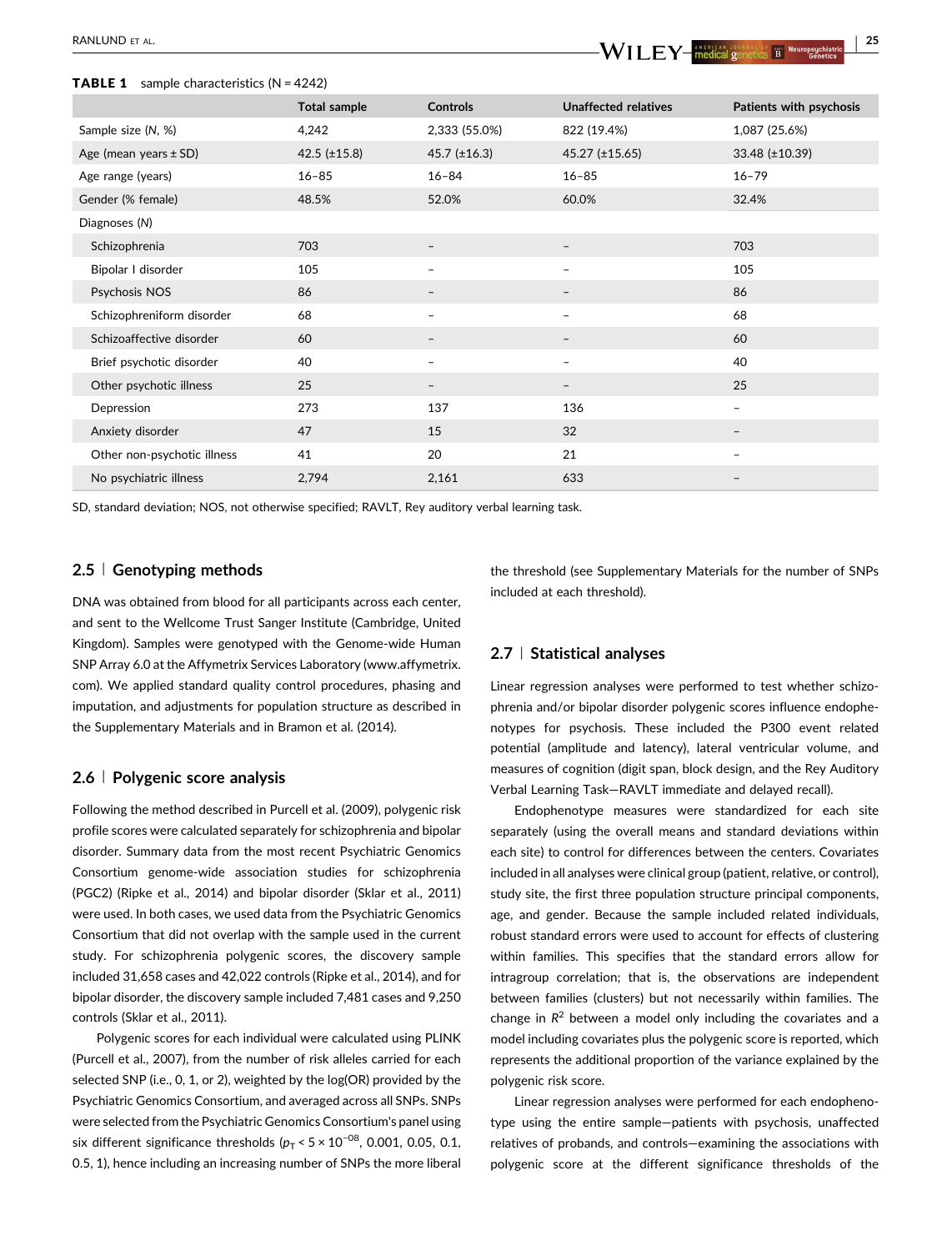#### <span id="page-4-0"></span>**TABLE 1** sample characteristics  $(N = 4242)$

|                             | <b>Total sample</b> | <b>Controls</b>      | <b>Unaffected relatives</b> | Patients with psychosis |
|-----------------------------|---------------------|----------------------|-----------------------------|-------------------------|
| Sample size (N, %)          | 4,242               | 2,333 (55.0%)        | 822 (19.4%)                 | 1,087 (25.6%)           |
| Age (mean years $\pm$ SD)   | 42.5 $(\pm 15.8)$   | $45.7$ ( $\pm$ 16.3) | $45.27$ (±15.65)            | 33.48 (±10.39)          |
| Age range (years)           | $16 - 85$           | $16 - 84$            | $16 - 85$                   | $16 - 79$               |
| Gender (% female)           | 48.5%               | 52.0%                | 60.0%                       | 32.4%                   |
| Diagnoses (N)               |                     |                      |                             |                         |
| Schizophrenia               | 703                 | $\qquad \qquad -$    | $\qquad \qquad -$           | 703                     |
| Bipolar I disorder          | 105                 | -                    |                             | 105                     |
| Psychosis NOS               | 86                  |                      |                             | 86                      |
| Schizophreniform disorder   | 68                  | -                    | $\qquad \qquad -$           | 68                      |
| Schizoaffective disorder    | 60                  | $\qquad \qquad -$    |                             | 60                      |
| Brief psychotic disorder    | 40                  | -                    | -                           | 40                      |
| Other psychotic illness     | 25                  | $\qquad \qquad -$    | $\qquad \qquad -$           | 25                      |
| Depression                  | 273                 | 137                  | 136                         | -                       |
| Anxiety disorder            | 47                  | 15                   | 32                          | $\qquad \qquad -$       |
| Other non-psychotic illness | 41                  | 20                   | 21                          | -                       |
| No psychiatric illness      | 2,794               | 2,161                | 633                         | -                       |

SD, standard deviation; NOS, not otherwise specified; RAVLT, Rey auditory verbal learning task.

#### 2.5 <sup>|</sup> Genotyping methods

DNA was obtained from blood for all participants across each center, and sent to the Wellcome Trust Sanger Institute (Cambridge, United Kingdom). Samples were genotyped with the Genome-wide Human SNP Array 6.0 at the Affymetrix Services Laboratory ([www.affymetrix.](http://www.affymetrix.com) [com](http://www.affymetrix.com)). We applied standard quality control procedures, phasing and imputation, and adjustments for population structure as described in the Supplementary Materials and in Bramon et al. ([2014](#page-9-0)).

#### 2.6 <sup>|</sup> Polygenic score analysis

Following the method described in Purcell et al. ([2009](#page-11-0)), polygenic risk profile scores were calculated separately for schizophrenia and bipolar disorder. Summary data from the most recent Psychiatric Genomics Consortium genome-wide association studies for schizophrenia (PGC2) (Ripke et al., [2014](#page-12-0)) and bipolar disorder (Sklar et al., [2011](#page-12-0)) were used. In both cases, we used data from the Psychiatric Genomics Consortium that did not overlap with the sample used in the current study. For schizophrenia polygenic scores, the discovery sample included 31,658 cases and 42,022 controls (Ripke et al., [2014\)](#page-12-0), and for bipolar disorder, the discovery sample included 7,481 cases and 9,250 controls (Sklar et al., [2011\)](#page-12-0).

Polygenic scores for each individual were calculated using PLINK (Purcell et al., [2007](#page-11-0)), from the number of risk alleles carried for each selected SNP (i.e., 0, 1, or 2), weighted by the log(OR) provided by the Psychiatric Genomics Consortium, and averaged across all SNPs. SNPs were selected from the Psychiatric Genomics Consortium's panel using six different significance thresholds ( $p_T < 5 \times 10^{-08}$ , 0.001, 0.05, 0.1, 0.5, 1), hence including an increasing number of SNPs the more liberal

the threshold (see Supplementary Materials for the number of SNPs included at each threshold).

#### 2.7 <sup>|</sup> Statistical analyses

Linear regression analyses were performed to test whether schizophrenia and/or bipolar disorder polygenic scores influence endophenotypes for psychosis. These included the P300 event related potential (amplitude and latency), lateral ventricular volume, and measures of cognition (digit span, block design, and the Rey Auditory Verbal Learning Task—RAVLT immediate and delayed recall).

Endophenotype measures were standardized for each site separately (using the overall means and standard deviations within each site) to control for differences between the centers. Covariates included in all analyses were clinical group (patient, relative, or control), study site, the first three population structure principal components, age, and gender. Because the sample included related individuals, robust standard errors were used to account for effects of clustering within families. This specifies that the standard errors allow for intragroup correlation; that is, the observations are independent between families (clusters) but not necessarily within families. The change in  $R^2$  between a model only including the covariates and a model including covariates plus the polygenic score is reported, which represents the additional proportion of the variance explained by the polygenic risk score.

Linear regression analyses were performed for each endophenotype using the entire sample—patients with psychosis, unaffected relatives of probands, and controls—examining the associations with polygenic score at the different significance thresholds of the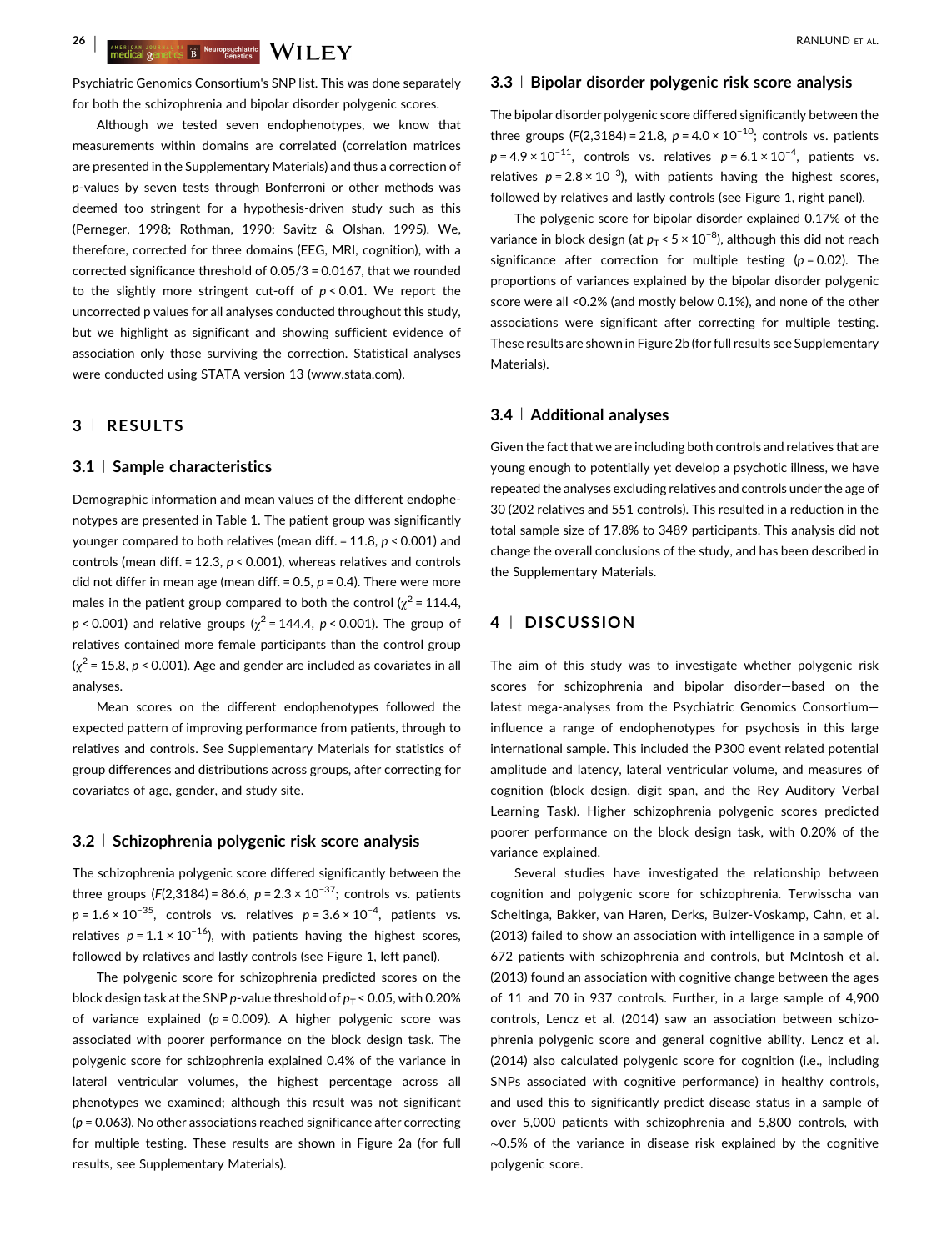Psychiatric Genomics Consortium's SNP list. This was done separately for both the schizophrenia and bipolar disorder polygenic scores.

Although we tested seven endophenotypes, we know that measurements within domains are correlated (correlation matrices are presented in the Supplementary Materials) and thus a correction of p-values by seven tests through Bonferroni or other methods was deemed too stringent for a hypothesis-driven study such as this (Perneger, [1998](#page-11-0); Rothman, [1990;](#page-12-0) Savitz & Olshan, [1995\)](#page-12-0). We, therefore, corrected for three domains (EEG, MRI, cognition), with a corrected significance threshold of 0.05/3 = 0.0167, that we rounded to the slightly more stringent cut-off of  $p < 0.01$ . We report the uncorrected p values for all analyses conducted throughout this study, but we highlight as significant and showing sufficient evidence of association only those surviving the correction. Statistical analyses were conducted using STATA version 13 ([www.stata.com](http://www.stata.com)).

## 3 <sup>|</sup> RESULTS

#### 3.1 <sup>|</sup> Sample characteristics

Demographic information and mean values of the different endophenotypes are presented in Table [1](#page-4-0). The patient group was significantly younger compared to both relatives (mean diff. = 11.8, p < 0.001) and controls (mean diff. = 12.3,  $p < 0.001$ ), whereas relatives and controls did not differ in mean age (mean diff. =  $0.5$ ,  $p = 0.4$ ). There were more males in the patient group compared to both the control ( $\chi^2$  = 114.4,  $p < 0.001$ ) and relative groups ( $\chi^2$  = 144.4,  $p < 0.001$ ). The group of relatives contained more female participants than the control group  $(\chi^2 = 15.8, p < 0.001)$ . Age and gender are included as covariates in all analyses.

Mean scores on the different endophenotypes followed the expected pattern of improving performance from patients, through to relatives and controls. See Supplementary Materials for statistics of group differences and distributions across groups, after correcting for covariates of age, gender, and study site.

#### 3.2 <sup>|</sup> Schizophrenia polygenic risk score analysis

The schizophrenia polygenic score differed significantly between the three groups (F(2,3184) = 86.6,  $p = 2.3 \times 10^{-37}$ ; controls vs. patients  $p = 1.6 \times 10^{-35}$ , controls vs. relatives  $p = 3.6 \times 10^{-4}$ , patients vs. relatives  $p = 1.1 \times 10^{-16}$ ), with patients having the highest scores, followed by relatives and lastly controls (see Figure 1, left panel).

The polygenic score for schizophrenia predicted scores on the block design task at the SNP p-value threshold of  $p_T < 0.05$ , with 0.20% of variance explained ( $p = 0.009$ ). A higher polygenic score was associated with poorer performance on the block design task. The polygenic score for schizophrenia explained 0.4% of the variance in lateral ventricular volumes, the highest percentage across all phenotypes we examined; although this result was not significant  $(p = 0.063)$ . No other associations reached significance after correcting for multiple testing. These results are shown in Figure 2a (for full results, see Supplementary Materials).

#### 3.3 <sup>|</sup> Bipolar disorder polygenic risk score analysis

The bipolar disorder polygenic score differed significantly between the three groups (F(2,3184) = 21.8,  $p = 4.0 \times 10^{-10}$ ; controls vs. patients  $p = 4.9 \times 10^{-11}$ , controls vs. relatives  $p = 6.1 \times 10^{-4}$ , patients vs. relatives  $p = 2.8 \times 10^{-3}$ ), with patients having the highest scores, followed by relatives and lastly controls (see Figure 1, right panel).

The polygenic score for bipolar disorder explained 0.17% of the variance in block design (at  $p_\text{T}$  < 5 × 10<sup>-8</sup>), although this did not reach significance after correction for multiple testing  $(p = 0.02)$ . The proportions of variances explained by the bipolar disorder polygenic score were all <0.2% (and mostly below 0.1%), and none of the other associations were significant after correcting for multiple testing. These results are shown in Figure 2b (for full results see Supplementary Materials).

#### 3.4 <sup>|</sup> Additional analyses

Given the fact that we are including both controls and relatives that are young enough to potentially yet develop a psychotic illness, we have repeated the analyses excluding relatives and controls under the age of 30 (202 relatives and 551 controls). This resulted in a reduction in the total sample size of 17.8% to 3489 participants. This analysis did not change the overall conclusions of the study, and has been described in the Supplementary Materials.

#### 4 <sup>|</sup> DISCUSSION

The aim of this study was to investigate whether polygenic risk scores for schizophrenia and bipolar disorder—based on the latest mega-analyses from the Psychiatric Genomics Consortium influence a range of endophenotypes for psychosis in this large international sample. This included the P300 event related potential amplitude and latency, lateral ventricular volume, and measures of cognition (block design, digit span, and the Rey Auditory Verbal Learning Task). Higher schizophrenia polygenic scores predicted poorer performance on the block design task, with 0.20% of the variance explained.

Several studies have investigated the relationship between cognition and polygenic score for schizophrenia. Terwisscha van Scheltinga, Bakker, van Haren, Derks, Buizer-Voskamp, Cahn, et al. [\(2013\)](#page-12-0) failed to show an association with intelligence in a sample of 672 patients with schizophrenia and controls, but McIntosh et al. [\(2013\)](#page-11-0) found an association with cognitive change between the ages of 11 and 70 in 937 controls. Further, in a large sample of 4,900 controls, Lencz et al. [\(2014\)](#page-11-0) saw an association between schizophrenia polygenic score and general cognitive ability. Lencz et al. [\(2014\)](#page-11-0) also calculated polygenic score for cognition (i.e., including SNPs associated with cognitive performance) in healthy controls, and used this to significantly predict disease status in a sample of over 5,000 patients with schizophrenia and 5,800 controls, with ∼0.5% of the variance in disease risk explained by the cognitive polygenic score.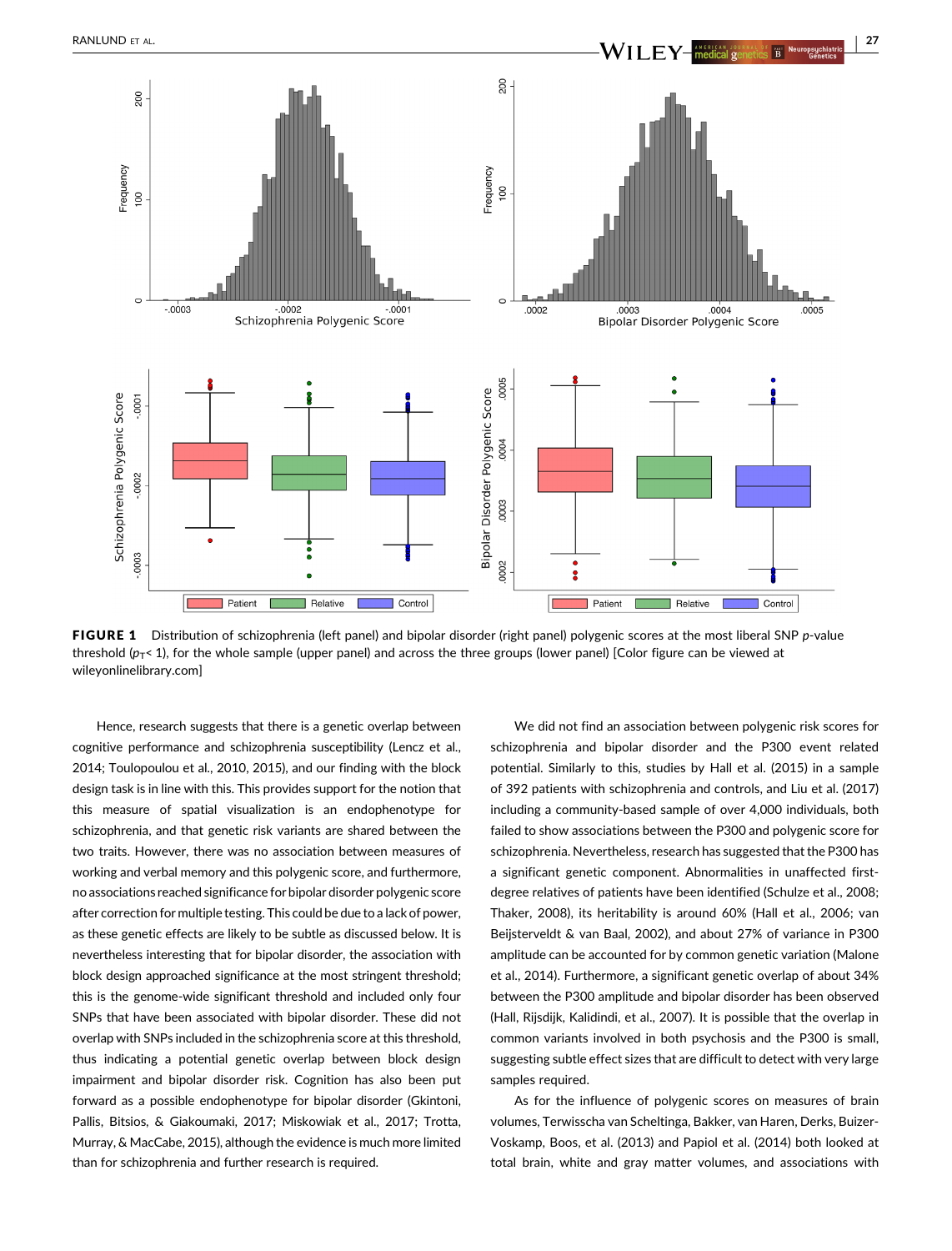

FIGURE 1 Distribution of schizophrenia (left panel) and bipolar disorder (right panel) polygenic scores at the most liberal SNP p-value threshold ( $p_T$ < 1), for the whole sample (upper panel) and across the three groups (lower panel) [Color figure can be viewed at [wileyonlinelibrary.com](http://wileyonlinelibrary.com)]

Hence, research suggests that there is a genetic overlap between cognitive performance and schizophrenia susceptibility (Lencz et al., [2014;](#page-11-0) Toulopoulou et al., [2010](#page-12-0), [2015](#page-12-0)), and our finding with the block design task is in line with this. This provides support for the notion that this measure of spatial visualization is an endophenotype for schizophrenia, and that genetic risk variants are shared between the two traits. However, there was no association between measures of working and verbal memory and this polygenic score, and furthermore, no associations reached significance for bipolar disorder polygenic score after correction for multiple testing. This could be due to a lack of power, as these genetic effects are likely to be subtle as discussed below. It is nevertheless interesting that for bipolar disorder, the association with block design approached significance at the most stringent threshold; this is the genome-wide significant threshold and included only four SNPs that have been associated with bipolar disorder. These did not overlap with SNPs included in the schizophrenia score at this threshold, thus indicating a potential genetic overlap between block design impairment and bipolar disorder risk. Cognition has also been put forward as a possible endophenotype for bipolar disorder (Gkintoni, Pallis, Bitsios, & Giakoumaki, [2017;](#page-10-0) Miskowiak et al., [2017](#page-11-0); Trotta, Murray, & MacCabe, [2015\)](#page-12-0), although the evidence is much more limited than for schizophrenia and further research is required.

We did not find an association between polygenic risk scores for schizophrenia and bipolar disorder and the P300 event related potential. Similarly to this, studies by Hall et al. ([2015](#page-10-0)) in a sample of 392 patients with schizophrenia and controls, and Liu et al. [\(2017\)](#page-11-0) including a community-based sample of over 4,000 individuals, both failed to show associations between the P300 and polygenic score for schizophrenia. Nevertheless, research has suggested that the P300 has a significant genetic component. Abnormalities in unaffected firstdegree relatives of patients have been identified (Schulze et al., [2008;](#page-12-0) Thaker, [2008\)](#page-12-0), its heritability is around 60% (Hall et al., [2006;](#page-10-0) van Beijsterveldt & van Baal, [2002\)](#page-12-0), and about 27% of variance in P300 amplitude can be accounted for by common genetic variation (Malone et al., [2014\)](#page-11-0). Furthermore, a significant genetic overlap of about 34% between the P300 amplitude and bipolar disorder has been observed (Hall, Rijsdijk, Kalidindi, et al., [2007](#page-10-0)). It is possible that the overlap in common variants involved in both psychosis and the P300 is small, suggesting subtle effect sizes that are difficult to detect with very large samples required.

As for the influence of polygenic scores on measures of brain volumes, Terwisscha van Scheltinga, Bakker, van Haren, Derks, Buizer-Voskamp, Boos, et al. ([2013](#page-12-0)) and Papiol et al. [\(2014\)](#page-11-0) both looked at total brain, white and gray matter volumes, and associations with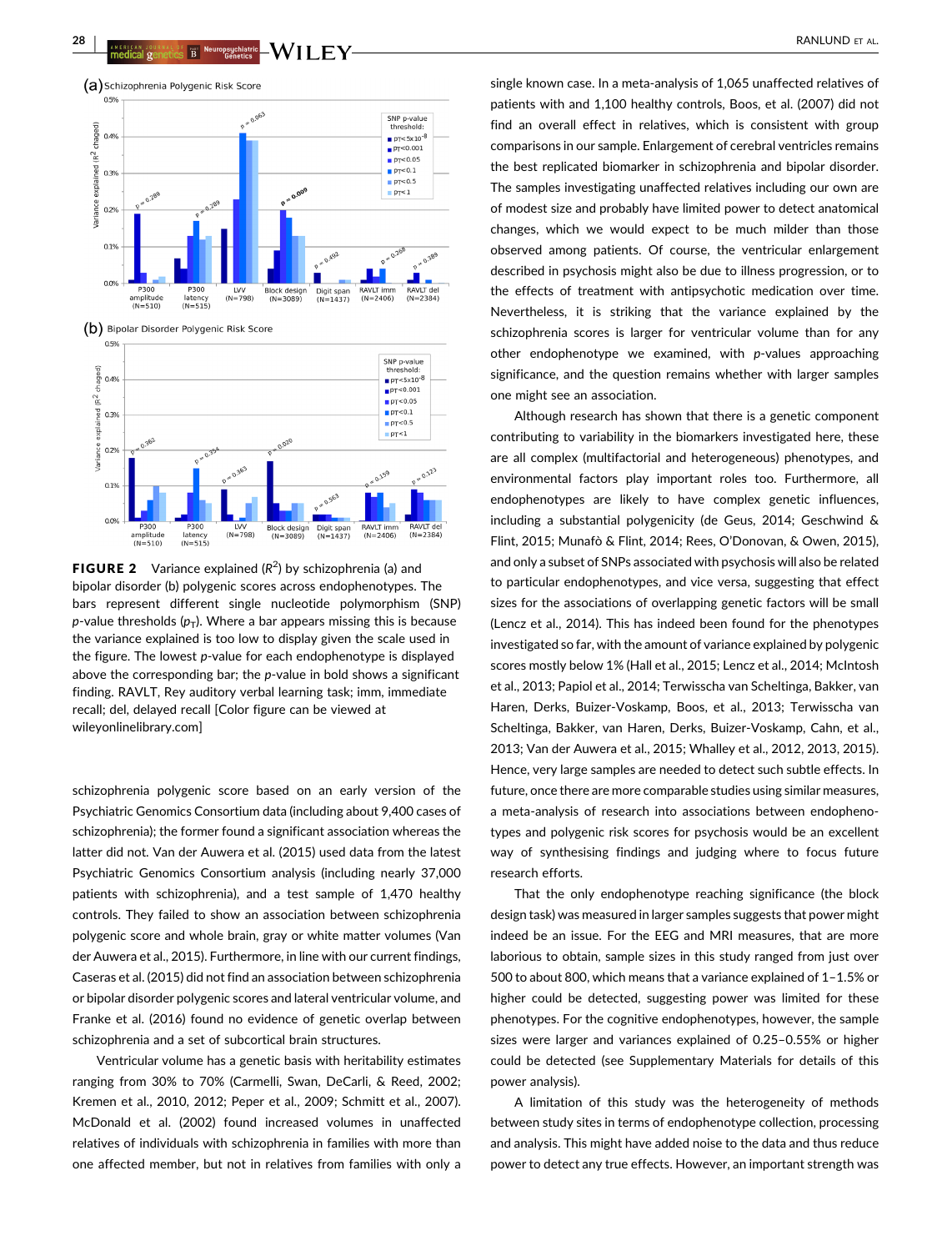

**FIGURE 2** Variance explained  $(R^2)$  by schizophrenia (a) and bipolar disorder (b) polygenic scores across endophenotypes. The bars represent different single nucleotide polymorphism (SNP) p-value thresholds  $(p_T)$ . Where a bar appears missing this is because the variance explained is too low to display given the scale used in the figure. The lowest p-value for each endophenotype is displayed above the corresponding bar; the  $p$ -value in bold shows a significant finding. RAVLT, Rey auditory verbal learning task; imm, immediate recall; del, delayed recall [Color figure can be viewed at [wileyonlinelibrary.com](http://wileyonlinelibrary.com)]

schizophrenia polygenic score based on an early version of the Psychiatric Genomics Consortium data (including about 9,400 cases of schizophrenia); the former found a significant association whereas the latter did not. Van der Auwera et al. ([2015](#page-12-0)) used data from the latest Psychiatric Genomics Consortium analysis (including nearly 37,000 patients with schizophrenia), and a test sample of 1,470 healthy controls. They failed to show an association between schizophrenia polygenic score and whole brain, gray or white matter volumes (Van der Auwera et al., [2015\)](#page-12-0). Furthermore, in line with our current findings, Caseras et al. [\(2015\)](#page-9-0) did not find an association between schizophrenia or bipolar disorder polygenic scores and lateral ventricular volume, and Franke et al. ([2016](#page-10-0)) found no evidence of genetic overlap between schizophrenia and a set of subcortical brain structures.

Ventricular volume has a genetic basis with heritability estimates ranging from 30% to 70% (Carmelli, Swan, DeCarli, & Reed, [2002](#page-9-0); Kremen et al., [2010,](#page-10-0) [2012;](#page-11-0) Peper et al., [2009](#page-11-0); Schmitt et al., [2007](#page-12-0)). McDonald et al. [\(2002\)](#page-11-0) found increased volumes in unaffected relatives of individuals with schizophrenia in families with more than one affected member, but not in relatives from families with only a

single known case. In a meta-analysis of 1,065 unaffected relatives of patients with and 1,100 healthy controls, Boos, et al. [\(2007\)](#page-9-0) did not find an overall effect in relatives, which is consistent with group comparisons in our sample. Enlargement of cerebral ventricles remains the best replicated biomarker in schizophrenia and bipolar disorder. The samples investigating unaffected relatives including our own are of modest size and probably have limited power to detect anatomical changes, which we would expect to be much milder than those observed among patients. Of course, the ventricular enlargement described in psychosis might also be due to illness progression, or to the effects of treatment with antipsychotic medication over time. Nevertheless, it is striking that the variance explained by the schizophrenia scores is larger for ventricular volume than for any other endophenotype we examined, with p-values approaching significance, and the question remains whether with larger samples one might see an association.

Although research has shown that there is a genetic component contributing to variability in the biomarkers investigated here, these are all complex (multifactorial and heterogeneous) phenotypes, and environmental factors play important roles too. Furthermore, all endophenotypes are likely to have complex genetic influences, including a substantial polygenicity (de Geus, [2014](#page-9-0); Geschwind & Flint, [2015;](#page-10-0) Munafò & Flint, [2014;](#page-11-0) Rees, O'Donovan, & Owen, [2015\)](#page-11-0), and only a subset of SNPs associated with psychosis will also be related to particular endophenotypes, and vice versa, suggesting that effect sizes for the associations of overlapping genetic factors will be small (Lencz et al., [2014\)](#page-11-0). This has indeed been found for the phenotypes investigated so far, with the amount of variance explained by polygenic scores mostly below 1% (Hall et al., [2015](#page-10-0); Lencz et al., [2014;](#page-11-0) McIntosh et al., [2013](#page-11-0); Papiol et al., [2014;](#page-11-0) Terwisscha van Scheltinga, Bakker, van Haren, Derks, Buizer-Voskamp, Boos, et al., [2013;](#page-12-0) Terwisscha van Scheltinga, Bakker, van Haren, Derks, Buizer-Voskamp, Cahn, et al., [2013](#page-12-0); Van der Auwera et al., [2015](#page-12-0); Whalley et al., [2012](#page-13-0), [2013, 2015\)](#page-13-0). Hence, very large samples are needed to detect such subtle effects. In future, once there are more comparable studies using similar measures, a meta-analysis of research into associations between endophenotypes and polygenic risk scores for psychosis would be an excellent way of synthesising findings and judging where to focus future research efforts.

That the only endophenotype reaching significance (the block design task) was measured in larger samples suggests that power might indeed be an issue. For the EEG and MRI measures, that are more laborious to obtain, sample sizes in this study ranged from just over 500 to about 800, which means that a variance explained of 1–1.5% or higher could be detected, suggesting power was limited for these phenotypes. For the cognitive endophenotypes, however, the sample sizes were larger and variances explained of 0.25–0.55% or higher could be detected (see Supplementary Materials for details of this power analysis).

A limitation of this study was the heterogeneity of methods between study sites in terms of endophenotype collection, processing and analysis. This might have added noise to the data and thus reduce power to detect any true effects. However, an important strength was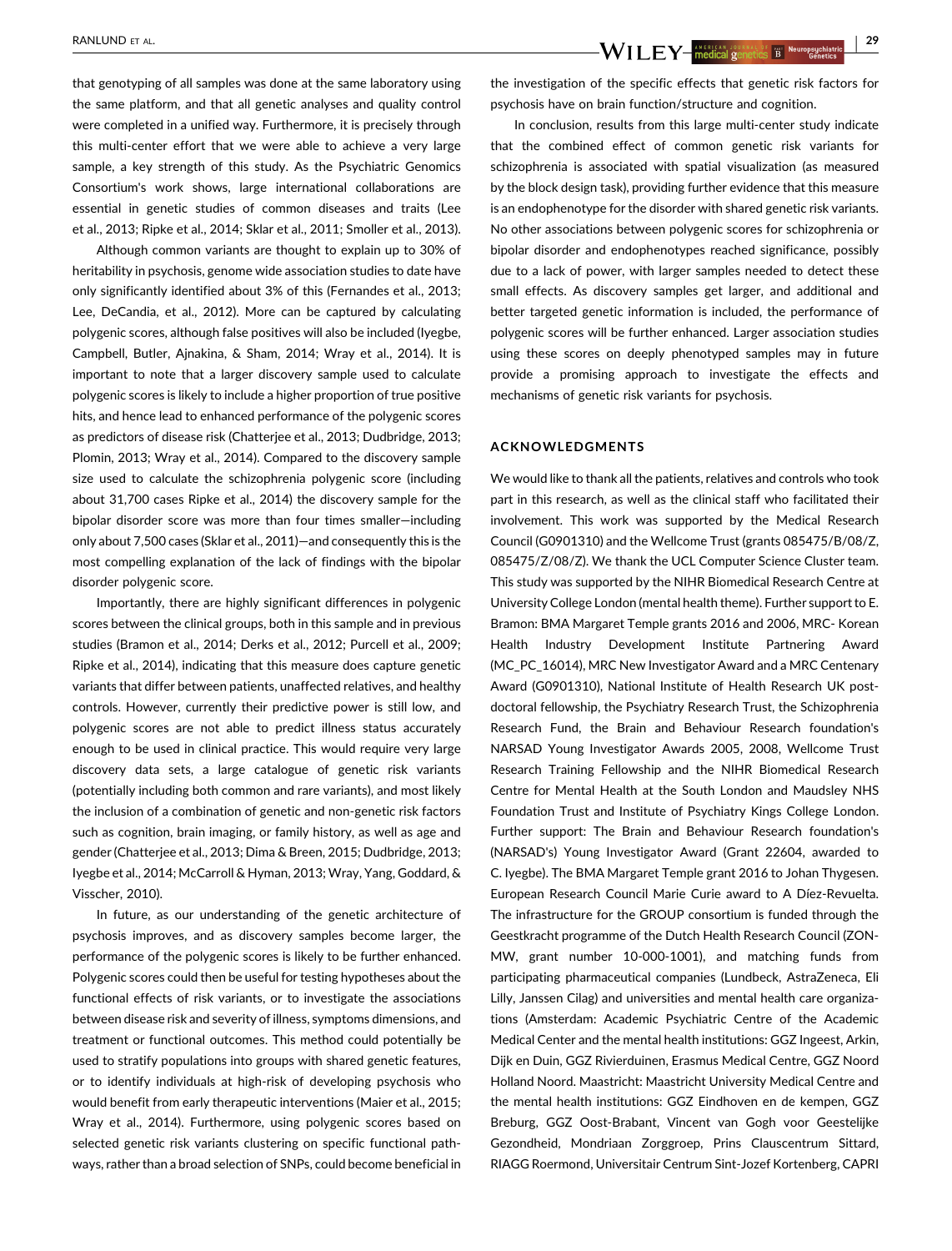that genotyping of all samples was done at the same laboratory using the same platform, and that all genetic analyses and quality control were completed in a unified way. Furthermore, it is precisely through this multi-center effort that we were able to achieve a very large sample, a key strength of this study. As the Psychiatric Genomics Consortium's work shows, large international collaborations are essential in genetic studies of common diseases and traits (Lee et al., [2013;](#page-11-0) Ripke et al., [2014;](#page-12-0) Sklar et al., [2011;](#page-12-0) Smoller et al., [2013](#page-12-0)).

Although common variants are thought to explain up to 30% of heritability in psychosis, genome wide association studies to date have only significantly identified about 3% of this (Fernandes et al., [2013](#page-10-0); Lee, DeCandia, et al., [2012\)](#page-11-0). More can be captured by calculating polygenic scores, although false positives will also be included (Iyegbe, Campbell, Butler, Ajnakina, & Sham, [2014](#page-10-0); Wray et al., [2014](#page-13-0)). It is important to note that a larger discovery sample used to calculate polygenic scores is likely to include a higher proportion of true positive hits, and hence lead to enhanced performance of the polygenic scores as predictors of disease risk (Chatterjee et al., [2013;](#page-9-0) Dudbridge, [2013](#page-9-0); Plomin, [2013](#page-11-0); Wray et al., [2014\)](#page-13-0). Compared to the discovery sample size used to calculate the schizophrenia polygenic score (including about 31,700 cases Ripke et al., [2014\)](#page-12-0) the discovery sample for the bipolar disorder score was more than four times smaller—including only about 7,500 cases (Sklar et al., [2011\)](#page-12-0)—and consequently this is the most compelling explanation of the lack of findings with the bipolar disorder polygenic score.

Importantly, there are highly significant differences in polygenic scores between the clinical groups, both in this sample and in previous studies (Bramon et al., [2014;](#page-9-0) Derks et al., [2012](#page-9-0); Purcell et al., [2009](#page-11-0); Ripke et al., [2014\)](#page-12-0), indicating that this measure does capture genetic variants that differ between patients, unaffected relatives, and healthy controls. However, currently their predictive power is still low, and polygenic scores are not able to predict illness status accurately enough to be used in clinical practice. This would require very large discovery data sets, a large catalogue of genetic risk variants (potentially including both common and rare variants), and most likely the inclusion of a combination of genetic and non-genetic risk factors such as cognition, brain imaging, or family history, as well as age and gender (Chatterjee et al., [2013](#page-9-0); Dima & Breen, [2015;](#page-9-0) Dudbridge, [2013](#page-9-0); Iyegbe et al., [2014](#page-10-0); McCarroll & Hyman, [2013;](#page-11-0) Wray, Yang, Goddard, & Visscher, [2010\)](#page-13-0).

In future, as our understanding of the genetic architecture of psychosis improves, and as discovery samples become larger, the performance of the polygenic scores is likely to be further enhanced. Polygenic scores could then be useful for testing hypotheses about the functional effects of risk variants, or to investigate the associations between disease risk and severity of illness, symptoms dimensions, and treatment or functional outcomes. This method could potentially be used to stratify populations into groups with shared genetic features, or to identify individuals at high-risk of developing psychosis who would benefit from early therapeutic interventions (Maier et al., [2015](#page-11-0); Wray et al., [2014](#page-13-0)). Furthermore, using polygenic scores based on selected genetic risk variants clustering on specific functional pathways, rather than a broad selection of SNPs, could become beneficial in

the investigation of the specific effects that genetic risk factors for psychosis have on brain function/structure and cognition.

In conclusion, results from this large multi-center study indicate that the combined effect of common genetic risk variants for schizophrenia is associated with spatial visualization (as measured by the block design task), providing further evidence that this measure is an endophenotype for the disorder with shared genetic risk variants. No other associations between polygenic scores for schizophrenia or bipolar disorder and endophenotypes reached significance, possibly due to a lack of power, with larger samples needed to detect these small effects. As discovery samples get larger, and additional and better targeted genetic information is included, the performance of polygenic scores will be further enhanced. Larger association studies using these scores on deeply phenotyped samples may in future provide a promising approach to investigate the effects and mechanisms of genetic risk variants for psychosis.

#### ACKNOWLEDGMENTS

We would like to thank all the patients, relatives and controls who took part in this research, as well as the clinical staff who facilitated their involvement. This work was supported by the Medical Research Council (G0901310) and the Wellcome Trust (grants 085475/B/08/Z, 085475/Z/08/Z). We thank the UCL Computer Science Cluster team. This study was supported by the NIHR Biomedical Research Centre at University College London (mental health theme). Further support to E. Bramon: BMA Margaret Temple grants 2016 and 2006, MRC- Korean Health Industry Development Institute Partnering Award (MC\_PC\_16014), MRC New Investigator Award and a MRC Centenary Award (G0901310), National Institute of Health Research UK postdoctoral fellowship, the Psychiatry Research Trust, the Schizophrenia Research Fund, the Brain and Behaviour Research foundation's NARSAD Young Investigator Awards 2005, 2008, Wellcome Trust Research Training Fellowship and the NIHR Biomedical Research Centre for Mental Health at the South London and Maudsley NHS Foundation Trust and Institute of Psychiatry Kings College London. Further support: The Brain and Behaviour Research foundation's (NARSAD's) Young Investigator Award (Grant 22604, awarded to C. Iyegbe). The BMA Margaret Temple grant 2016 to Johan Thygesen. European Research Council Marie Curie award to A Díez-Revuelta. The infrastructure for the GROUP consortium is funded through the Geestkracht programme of the Dutch Health Research Council (ZON-MW, grant number 10-000-1001), and matching funds from participating pharmaceutical companies (Lundbeck, AstraZeneca, Eli Lilly, Janssen Cilag) and universities and mental health care organizations (Amsterdam: Academic Psychiatric Centre of the Academic Medical Center and the mental health institutions: GGZ Ingeest, Arkin, Dijk en Duin, GGZ Rivierduinen, Erasmus Medical Centre, GGZ Noord Holland Noord. Maastricht: Maastricht University Medical Centre and the mental health institutions: GGZ Eindhoven en de kempen, GGZ Breburg, GGZ Oost-Brabant, Vincent van Gogh voor Geestelijke Gezondheid, Mondriaan Zorggroep, Prins Clauscentrum Sittard, RIAGG Roermond, Universitair Centrum Sint-Jozef Kortenberg, CAPRI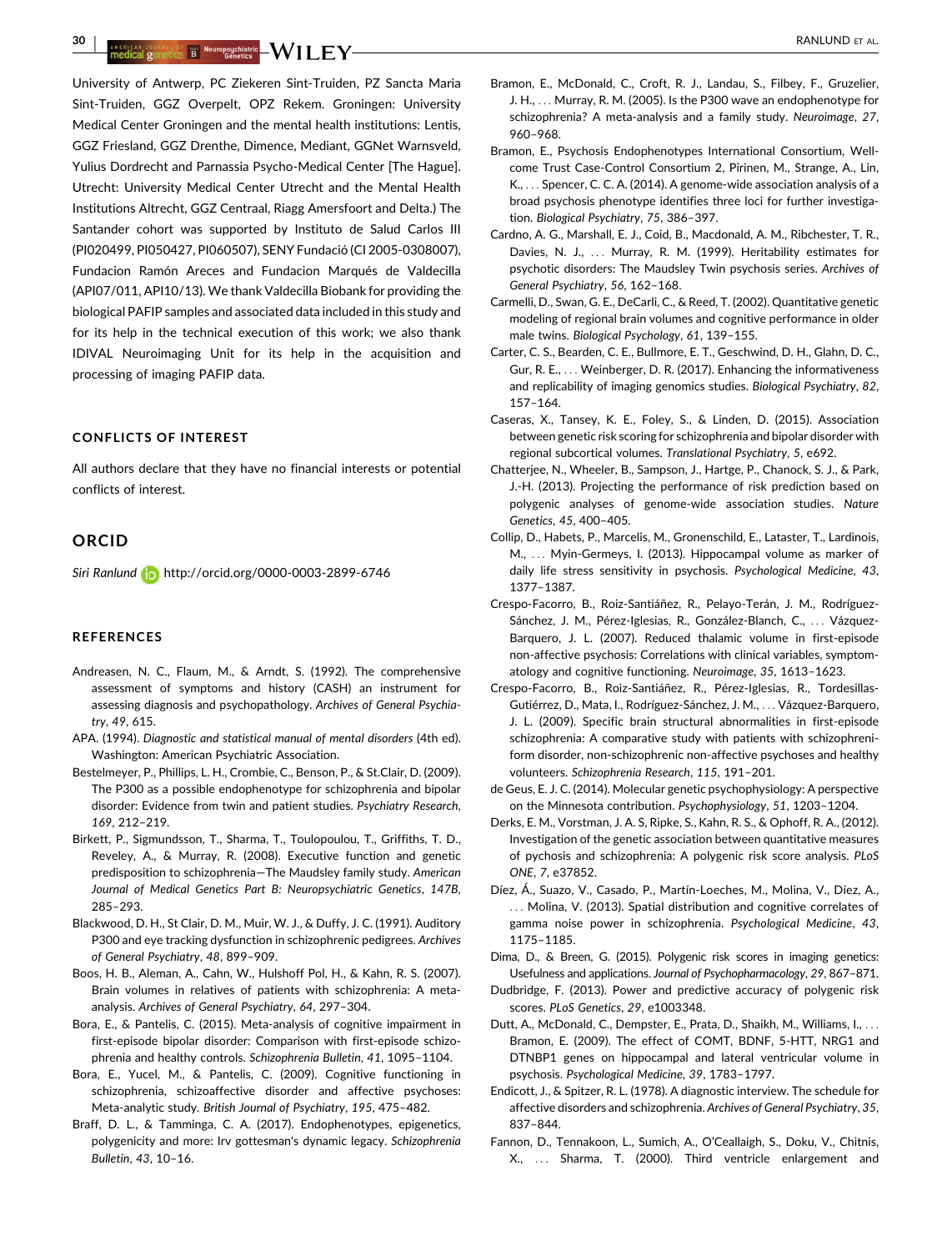<span id="page-9-0"></span>30 | ANSALCAR JOURNAL OF THE NEUTROPSICHISTIC NUMBER AL.<br>The dical genetics B Genetics Condition of the service condition of the service of the service of the service o

University of Antwerp, PC Ziekeren Sint-Truiden, PZ Sancta Maria Sint-Truiden, GGZ Overpelt, OPZ Rekem. Groningen: University Medical Center Groningen and the mental health institutions: Lentis, GGZ Friesland, GGZ Drenthe, Dimence, Mediant, GGNet Warnsveld, Yulius Dordrecht and Parnassia Psycho-Medical Center [The Hague]. Utrecht: University Medical Center Utrecht and the Mental Health Institutions Altrecht, GGZ Centraal, Riagg Amersfoort and Delta.) The Santander cohort was supported by Instituto de Salud Carlos III (PI020499, PI050427, PI060507), SENY Fundació (CI 2005-0308007), Fundacion Ramón Areces and Fundacion Marqués de Valdecilla (API07/011, API10/13). We thank Valdecilla Biobank for providing the biological PAFIP samples and associated data included in this study and for its help in the technical execution of this work; we also thank IDIVAL Neuroimaging Unit for its help in the acquisition and processing of imaging PAFIP data.

#### CONFLICTS OF INTEREST

All authors declare that they have no financial interests or potential conflicts of interest.

## **ORCID**

Siri Ranlund **in** http://orcid.org/0000-0003-2899-6746

#### **REFERENCES**

- Andreasen, N. C., Flaum, M., & Arndt, S. (1992). The comprehensive assessment of symptoms and history (CASH) an instrument for assessing diagnosis and psychopathology. Archives of General Psychiatry, 49, 615.
- APA. (1994). Diagnostic and statistical manual of mental disorders (4th ed). Washington: American Psychiatric Association.
- Bestelmeyer, P., Phillips, L. H., Crombie, C., Benson, P., & St.Clair, D. (2009). The P300 as a possible endophenotype for schizophrenia and bipolar disorder: Evidence from twin and patient studies. Psychiatry Research, 169, 212–219.
- Birkett, P., Sigmundsson, T., Sharma, T., Toulopoulou, T., Griffiths, T. D., Reveley, A., & Murray, R. (2008). Executive function and genetic predisposition to schizophrenia—The Maudsley family study. American Journal of Medical Genetics Part B: Neuropsychiatric Genetics, 147B, 285–293.
- Blackwood, D. H., St Clair, D. M., Muir, W. J., & Duffy, J. C. (1991). Auditory P300 and eye tracking dysfunction in schizophrenic pedigrees. Archives of General Psychiatry, 48, 899–909.
- Boos, H. B., Aleman, A., Cahn, W., Hulshoff Pol, H., & Kahn, R. S. (2007). Brain volumes in relatives of patients with schizophrenia: A metaanalysis. Archives of General Psychiatry, 64, 297–304.
- Bora, E., & Pantelis, C. (2015). Meta-analysis of cognitive impairment in first-episode bipolar disorder: Comparison with first-episode schizophrenia and healthy controls. Schizophrenia Bulletin, 41, 1095–1104.
- Bora, E., Yucel, M., & Pantelis, C. (2009). Cognitive functioning in schizophrenia, schizoaffective disorder and affective psychoses: Meta-analytic study. British Journal of Psychiatry, 195, 475–482.
- Braff, D. L., & Tamminga, C. A. (2017). Endophenotypes, epigenetics, polygenicity and more: Irv gottesman's dynamic legacy. Schizophrenia Bulletin, 43, 10–16.
- Bramon, E., McDonald, C., Croft, R. J., Landau, S., Filbey, F., Gruzelier, J. H., ... Murray, R. M. (2005). Is the P300 wave an endophenotype for schizophrenia? A meta-analysis and a family study. Neuroimage, 27, 960–968.
- Bramon, E., Psychosis Endophenotypes International Consortium, Wellcome Trust Case-Control Consortium 2, Pirinen, M., Strange, A., Lin, K., ... Spencer, C. C. A. (2014). A genome-wide association analysis of a broad psychosis phenotype identifies three loci for further investigation. Biological Psychiatry, 75, 386–397.
- Cardno, A. G., Marshall, E. J., Coid, B., Macdonald, A. M., Ribchester, T. R., Davies, N. J., ... Murray, R. M. (1999). Heritability estimates for psychotic disorders: The Maudsley Twin psychosis series. Archives of General Psychiatry, 56, 162–168.
- Carmelli, D., Swan, G. E., DeCarli, C., & Reed, T. (2002). Quantitative genetic modeling of regional brain volumes and cognitive performance in older male twins. Biological Psychology, 61, 139–155.
- Carter, C. S., Bearden, C. E., Bullmore, E. T., Geschwind, D. H., Glahn, D. C., Gur, R. E., ... Weinberger, D. R. (2017). Enhancing the informativeness and replicability of imaging genomics studies. Biological Psychiatry, 82, 157–164.
- Caseras, X., Tansey, K. E., Foley, S., & Linden, D. (2015). Association between genetic risk scoring for schizophrenia and bipolar disorder with regional subcortical volumes. Translational Psychiatry, 5, e692.
- Chatterjee, N., Wheeler, B., Sampson, J., Hartge, P., Chanock, S. J., & Park, J.-H. (2013). Projecting the performance of risk prediction based on polygenic analyses of genome-wide association studies. Nature Genetics, 45, 400–405.
- Collip, D., Habets, P., Marcelis, M., Gronenschild, E., Lataster, T., Lardinois, M., ... Myin-Germeys, I. (2013). Hippocampal volume as marker of daily life stress sensitivity in psychosis. Psychological Medicine, 43, 1377–1387.
- Crespo-Facorro, B., Roiz-Santiáñez, R., Pelayo-Terán, J. M., Rodríguez-Sánchez, J. M., Pérez-Iglesias, R., González-Blanch, C., ... Vázquez-Barquero, J. L. (2007). Reduced thalamic volume in first-episode non-affective psychosis: Correlations with clinical variables, symptomatology and cognitive functioning. Neuroimage, 35, 1613–1623.
- Crespo-Facorro, B., Roiz-Santiáñez, R., Pérez-Iglesias, R., Tordesillas-Gutiérrez, D., Mata, I., Rodríguez-Sánchez, J. M., ... Vázquez-Barquero, J. L. (2009). Specific brain structural abnormalities in first-episode schizophrenia: A comparative study with patients with schizophreniform disorder, non-schizophrenic non-affective psychoses and healthy volunteers. Schizophrenia Research, 115, 191–201.
- de Geus, E. J. C. (2014). Molecular genetic psychophysiology: A perspective on the Minnesota contribution. Psychophysiology, 51, 1203–1204.
- Derks, E. M., Vorstman, J. A. S, Ripke, S., Kahn, R. S., & Ophoff, R. A., (2012). Investigation of the genetic association between quantitative measures of pychosis and schizophrenia: A polygenic risk score analysis. PLoS ONE, 7, e37852.
- Díez, Á., Suazo, V., Casado, P., Martín-Loeches, M., Molina, V., Díez, A., ... Molina, V. (2013). Spatial distribution and cognitive correlates of gamma noise power in schizophrenia. Psychological Medicine, 43, 1175–1185.
- Dima, D., & Breen, G. (2015). Polygenic risk scores in imaging genetics: Usefulness and applications. Journal of Psychopharmacology, 29, 867–871.
- Dudbridge, F. (2013). Power and predictive accuracy of polygenic risk scores. PLoS Genetics, 29, e1003348.
- Dutt, A., McDonald, C., Dempster, E., Prata, D., Shaikh, M., Williams, I., ... Bramon, E. (2009). The effect of COMT, BDNF, 5-HTT, NRG1 and DTNBP1 genes on hippocampal and lateral ventricular volume in psychosis. Psychological Medicine, 39, 1783–1797.
- Endicott, J., & Spitzer, R. L. (1978). A diagnostic interview. The schedule for affective disorders and schizophrenia. Archives of General Psychiatry, 35, 837–844.
- Fannon, D., Tennakoon, L., Sumich, A., O'Ceallaigh, S., Doku, V., Chitnis, X., ... Sharma, T. (2000). Third ventricle enlargement and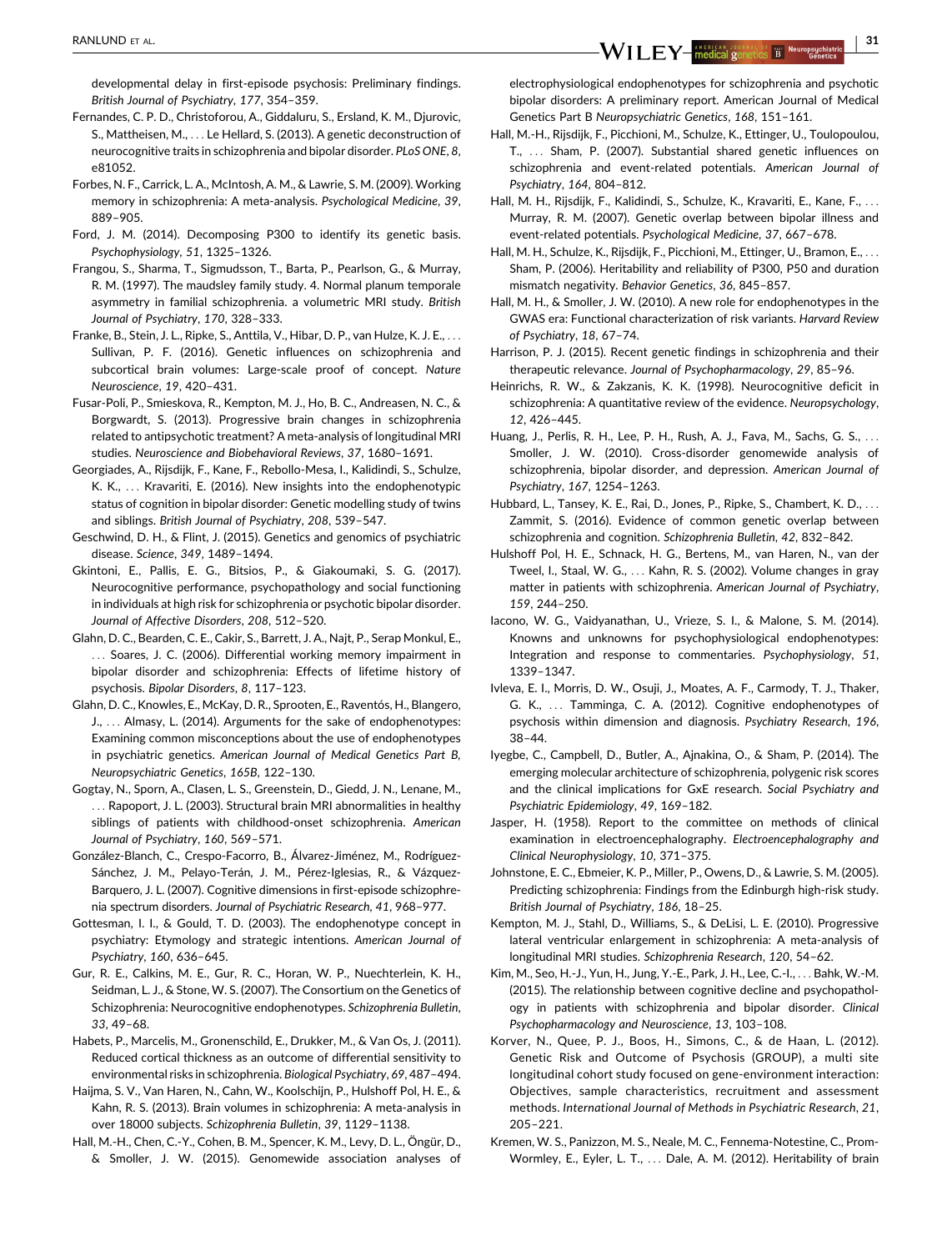<span id="page-10-0"></span>developmental delay in first-episode psychosis: Preliminary findings. British Journal of Psychiatry, 177, 354–359.

- Fernandes, C. P. D., Christoforou, A., Giddaluru, S., Ersland, K. M., Djurovic, S., Mattheisen, M., ... Le Hellard, S. (2013). A genetic deconstruction of neurocognitive traits in schizophrenia and bipolar disorder. PLoS ONE, 8, e81052.
- Forbes, N. F., Carrick, L. A., McIntosh, A. M., & Lawrie, S. M. (2009). Working memory in schizophrenia: A meta-analysis. Psychological Medicine, 39, 889–905.
- Ford, J. M. (2014). Decomposing P300 to identify its genetic basis. Psychophysiology, 51, 1325–1326.
- Frangou, S., Sharma, T., Sigmudsson, T., Barta, P., Pearlson, G., & Murray, R. M. (1997). The maudsley family study. 4. Normal planum temporale asymmetry in familial schizophrenia. a volumetric MRI study. British Journal of Psychiatry, 170, 328–333.
- Franke, B., Stein, J. L., Ripke, S., Anttila, V., Hibar, D. P., van Hulze, K. J. E., ... Sullivan, P. F. (2016). Genetic influences on schizophrenia and subcortical brain volumes: Large-scale proof of concept. Nature Neuroscience, 19, 420–431.
- Fusar-Poli, P., Smieskova, R., Kempton, M. J., Ho, B. C., Andreasen, N. C., & Borgwardt, S. (2013). Progressive brain changes in schizophrenia related to antipsychotic treatment? A meta-analysis of longitudinal MRI studies. Neuroscience and Biobehavioral Reviews, 37, 1680–1691.
- Georgiades, A., Rijsdijk, F., Kane, F., Rebollo-Mesa, I., Kalidindi, S., Schulze, K. K., ... Kravariti, E. (2016). New insights into the endophenotypic status of cognition in bipolar disorder: Genetic modelling study of twins and siblings. British Journal of Psychiatry, 208, 539–547.
- Geschwind, D. H., & Flint, J. (2015). Genetics and genomics of psychiatric disease. Science, 349, 1489–1494.
- Gkintoni, E., Pallis, E. G., Bitsios, P., & Giakoumaki, S. G. (2017). Neurocognitive performance, psychopathology and social functioning in individuals at high risk for schizophrenia or psychotic bipolar disorder. Journal of Affective Disorders, 208, 512–520.
- Glahn, D. C., Bearden, C. E., Cakir, S., Barrett, J. A., Najt, P., Serap Monkul, E., ... Soares, J. C. (2006). Differential working memory impairment in bipolar disorder and schizophrenia: Effects of lifetime history of psychosis. Bipolar Disorders, 8, 117–123.
- Glahn, D. C., Knowles, E., McKay, D. R., Sprooten, E., Raventós, H., Blangero, J., ... Almasy, L. (2014). Arguments for the sake of endophenotypes: Examining common misconceptions about the use of endophenotypes in psychiatric genetics. American Journal of Medical Genetics Part B, Neuropsychiatric Genetics, 165B, 122–130.
- Gogtay, N., Sporn, A., Clasen, L. S., Greenstein, D., Giedd, J. N., Lenane, M., ... Rapoport, J. L. (2003). Structural brain MRI abnormalities in healthy siblings of patients with childhood-onset schizophrenia. American Journal of Psychiatry, 160, 569–571.
- González-Blanch, C., Crespo-Facorro, B., Álvarez-Jiménez, M., Rodríguez-Sánchez, J. M., Pelayo-Terán, J. M., Pérez-Iglesias, R., & Vázquez-Barquero, J. L. (2007). Cognitive dimensions in first-episode schizophrenia spectrum disorders. Journal of Psychiatric Research, 41, 968–977.
- Gottesman, I. I., & Gould, T. D. (2003). The endophenotype concept in psychiatry: Etymology and strategic intentions. American Journal of Psychiatry, 160, 636–645.
- Gur, R. E., Calkins, M. E., Gur, R. C., Horan, W. P., Nuechterlein, K. H., Seidman, L. J., & Stone, W. S. (2007). The Consortium on the Genetics of Schizophrenia: Neurocognitive endophenotypes. Schizophrenia Bulletin, 33, 49–68.
- Habets, P., Marcelis, M., Gronenschild, E., Drukker, M., & Van Os, J. (2011). Reduced cortical thickness as an outcome of differential sensitivity to environmental risks in schizophrenia. Biological Psychiatry, 69, 487–494.
- Haijma, S. V., Van Haren, N., Cahn, W., Koolschijn, P., Hulshoff Pol, H. E., & Kahn, R. S. (2013). Brain volumes in schizophrenia: A meta-analysis in over 18000 subjects. Schizophrenia Bulletin, 39, 1129–1138.
- Hall, M.-H., Chen, C.-Y., Cohen, B. M., Spencer, K. M., Levy, D. L., Öngür, D., & Smoller, J. W. (2015). Genomewide association analyses of

electrophysiological endophenotypes for schizophrenia and psychotic bipolar disorders: A preliminary report. American Journal of Medical Genetics Part B Neuropsychiatric Genetics, 168, 151–161.

- Hall, M.-H., Rijsdijk, F., Picchioni, M., Schulze, K., Ettinger, U., Toulopoulou, T., ... Sham, P. (2007). Substantial shared genetic influences on schizophrenia and event-related potentials. American Journal of Psychiatry, 164, 804–812.
- Hall, M. H., Rijsdijk, F., Kalidindi, S., Schulze, K., Kravariti, E., Kane, F., ... Murray, R. M. (2007). Genetic overlap between bipolar illness and event-related potentials. Psychological Medicine, 37, 667–678.
- Hall, M. H., Schulze, K., Rijsdijk, F., Picchioni, M., Ettinger, U., Bramon, E., ... Sham, P. (2006). Heritability and reliability of P300, P50 and duration mismatch negativity. Behavior Genetics, 36, 845–857.
- Hall, M. H., & Smoller, J. W. (2010). A new role for endophenotypes in the GWAS era: Functional characterization of risk variants. Harvard Review of Psychiatry, 18, 67–74.
- Harrison, P. J. (2015). Recent genetic findings in schizophrenia and their therapeutic relevance. Journal of Psychopharmacology, 29, 85–96.
- Heinrichs, R. W., & Zakzanis, K. K. (1998). Neurocognitive deficit in schizophrenia: A quantitative review of the evidence. Neuropsychology, 12, 426–445.
- Huang, J., Perlis, R. H., Lee, P. H., Rush, A. J., Fava, M., Sachs, G. S., ... Smoller, J. W. (2010). Cross-disorder genomewide analysis of schizophrenia, bipolar disorder, and depression. American Journal of Psychiatry, 167, 1254–1263.
- Hubbard, L., Tansey, K. E., Rai, D., Jones, P., Ripke, S., Chambert, K. D., ... Zammit, S. (2016). Evidence of common genetic overlap between schizophrenia and cognition. Schizophrenia Bulletin, 42, 832–842.
- Hulshoff Pol, H. E., Schnack, H. G., Bertens, M., van Haren, N., van der Tweel, I., Staal, W. G., ... Kahn, R. S. (2002). Volume changes in gray matter in patients with schizophrenia. American Journal of Psychiatry, 159, 244–250.
- Iacono, W. G., Vaidyanathan, U., Vrieze, S. I., & Malone, S. M. (2014). Knowns and unknowns for psychophysiological endophenotypes: Integration and response to commentaries. Psychophysiology, 51, 1339–1347.
- Ivleva, E. I., Morris, D. W., Osuji, J., Moates, A. F., Carmody, T. J., Thaker, G. K., ... Tamminga, C. A. (2012). Cognitive endophenotypes of psychosis within dimension and diagnosis. Psychiatry Research, 196, 38–44.
- Iyegbe, C., Campbell, D., Butler, A., Ajnakina, O., & Sham, P. (2014). The emerging molecular architecture of schizophrenia, polygenic risk scores and the clinical implications for GxE research. Social Psychiatry and Psychiatric Epidemiology, 49, 169–182.
- Jasper, H. (1958). Report to the committee on methods of clinical examination in electroencephalography. Electroencephalography and Clinical Neurophysiology, 10, 371–375.
- Johnstone, E. C., Ebmeier, K. P., Miller, P., Owens, D., & Lawrie, S. M. (2005). Predicting schizophrenia: Findings from the Edinburgh high-risk study. British Journal of Psychiatry, 186, 18–25.
- Kempton, M. J., Stahl, D., Williams, S., & DeLisi, L. E. (2010). Progressive lateral ventricular enlargement in schizophrenia: A meta-analysis of longitudinal MRI studies. Schizophrenia Research, 120, 54–62.
- Kim, M., Seo, H.-J., Yun, H., Jung, Y.-E., Park, J. H., Lee, C.-I., ... Bahk, W.-M. (2015). The relationship between cognitive decline and psychopathology in patients with schizophrenia and bipolar disorder. Clinical Psychopharmacology and Neuroscience, 13, 103–108.
- Korver, N., Quee, P. J., Boos, H., Simons, C., & de Haan, L. (2012). Genetic Risk and Outcome of Psychosis (GROUP), a multi site longitudinal cohort study focused on gene-environment interaction: Objectives, sample characteristics, recruitment and assessment methods. International Journal of Methods in Psychiatric Research, 21, 205–221.
- Kremen, W. S., Panizzon, M. S., Neale, M. C., Fennema-Notestine, C., Prom-Wormley, E., Eyler, L. T., ... Dale, A. M. (2012). Heritability of brain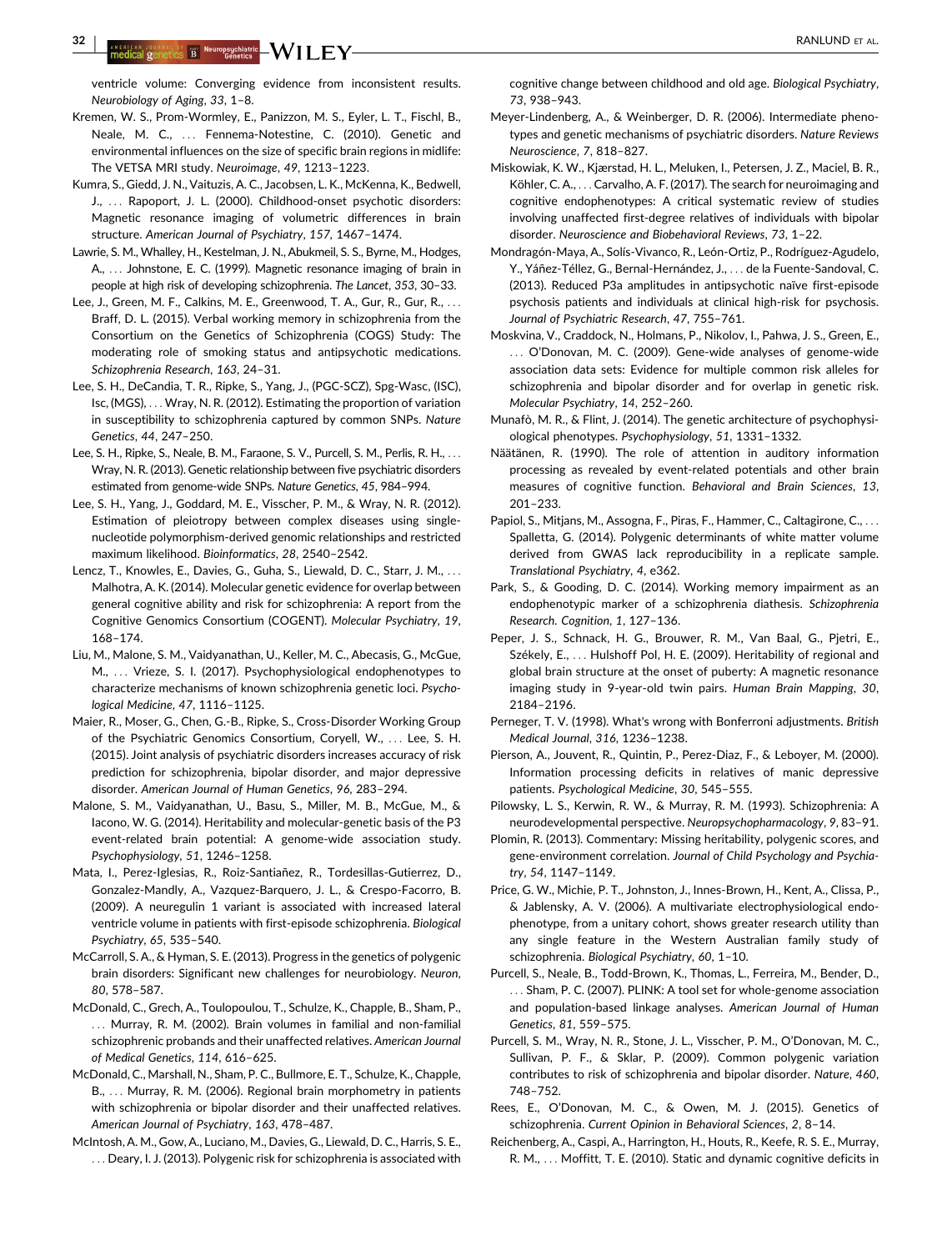<span id="page-11-0"></span> $32$  | Antalgal Democratic  $\mathbf{M}/\mathbf{H}$  |  $\mathbf{E}\mathbf{V}$  |  $\blacksquare$ 

ventricle volume: Converging evidence from inconsistent results. Neurobiology of Aging, 33, 1–8.

- Kremen, W. S., Prom-Wormley, E., Panizzon, M. S., Eyler, L. T., Fischl, B., Neale, M. C., ... Fennema-Notestine, C. (2010). Genetic and environmental influences on the size of specific brain regions in midlife: The VETSA MRI study. Neuroimage, 49, 1213–1223.
- Kumra, S., Giedd, J. N., Vaituzis, A. C., Jacobsen, L. K., McKenna, K., Bedwell, J., ... Rapoport, J. L. (2000). Childhood-onset psychotic disorders: Magnetic resonance imaging of volumetric differences in brain structure. American Journal of Psychiatry, 157, 1467–1474.
- Lawrie, S. M., Whalley, H., Kestelman, J. N., Abukmeil, S. S., Byrne, M., Hodges, A., ... Johnstone, E. C. (1999). Magnetic resonance imaging of brain in people at high risk of developing schizophrenia. The Lancet, 353, 30–33.
- Lee, J., Green, M. F., Calkins, M. E., Greenwood, T. A., Gur, R., Gur, R., ... Braff, D. L. (2015). Verbal working memory in schizophrenia from the Consortium on the Genetics of Schizophrenia (COGS) Study: The moderating role of smoking status and antipsychotic medications. Schizophrenia Research, 163, 24–31.
- Lee, S. H., DeCandia, T. R., Ripke, S., Yang, J., (PGC-SCZ), Spg-Wasc, (ISC), Isc, (MGS), ... Wray, N. R. (2012). Estimating the proportion of variation in susceptibility to schizophrenia captured by common SNPs. Nature Genetics, 44, 247–250.
- Lee, S. H., Ripke, S., Neale, B. M., Faraone, S. V., Purcell, S. M., Perlis, R. H., ... Wray, N. R. (2013). Genetic relationship between five psychiatric disorders estimated from genome-wide SNPs. Nature Genetics, 45, 984–994.
- Lee, S. H., Yang, J., Goddard, M. E., Visscher, P. M., & Wray, N. R. (2012). Estimation of pleiotropy between complex diseases using singlenucleotide polymorphism-derived genomic relationships and restricted maximum likelihood. Bioinformatics, 28, 2540–2542.
- Lencz, T., Knowles, E., Davies, G., Guha, S., Liewald, D. C., Starr, J. M., ... Malhotra, A. K. (2014). Molecular genetic evidence for overlap between general cognitive ability and risk for schizophrenia: A report from the Cognitive Genomics Consortium (COGENT). Molecular Psychiatry, 19, 168–174.
- Liu, M., Malone, S. M., Vaidyanathan, U., Keller, M. C., Abecasis, G., McGue, M., ... Vrieze, S. I. (2017). Psychophysiological endophenotypes to characterize mechanisms of known schizophrenia genetic loci. Psychological Medicine, 47, 1116–1125.
- Maier, R., Moser, G., Chen, G.-B., Ripke, S., Cross-Disorder Working Group of the Psychiatric Genomics Consortium, Coryell, W., ... Lee, S. H. (2015). Joint analysis of psychiatric disorders increases accuracy of risk prediction for schizophrenia, bipolar disorder, and major depressive disorder. American Journal of Human Genetics, 96, 283–294.
- Malone, S. M., Vaidyanathan, U., Basu, S., Miller, M. B., McGue, M., & Iacono, W. G. (2014). Heritability and molecular-genetic basis of the P3 event-related brain potential: A genome-wide association study. Psychophysiology, 51, 1246–1258.
- Mata, I., Perez-Iglesias, R., Roiz-Santiañez, R., Tordesillas-Gutierrez, D., Gonzalez-Mandly, A., Vazquez-Barquero, J. L., & Crespo-Facorro, B. (2009). A neuregulin 1 variant is associated with increased lateral ventricle volume in patients with first-episode schizophrenia. Biological Psychiatry, 65, 535–540.
- McCarroll, S. A., & Hyman, S. E. (2013). Progress in the genetics of polygenic brain disorders: Significant new challenges for neurobiology. Neuron, 80, 578–587.
- McDonald, C., Grech, A., Toulopoulou, T., Schulze, K., Chapple, B., Sham, P., ... Murray, R. M. (2002). Brain volumes in familial and non-familial schizophrenic probands and their unaffected relatives. American Journal of Medical Genetics, 114, 616–625.
- McDonald, C., Marshall, N., Sham, P. C., Bullmore, E. T., Schulze, K., Chapple, B., ... Murray, R. M. (2006). Regional brain morphometry in patients with schizophrenia or bipolar disorder and their unaffected relatives. American Journal of Psychiatry, 163, 478–487.
- McIntosh, A. M., Gow, A., Luciano, M., Davies, G., Liewald, D. C., Harris, S. E., ... Deary, I. J. (2013). Polygenic risk for schizophrenia is associated with

cognitive change between childhood and old age. Biological Psychiatry, 73, 938–943.

- Meyer-Lindenberg, A., & Weinberger, D. R. (2006). Intermediate phenotypes and genetic mechanisms of psychiatric disorders. Nature Reviews Neuroscience, 7, 818–827.
- Miskowiak, K. W., Kjærstad, H. L., Meluken, I., Petersen, J. Z., Maciel, B. R., Köhler, C. A., ... Carvalho, A. F. (2017). The search for neuroimaging and cognitive endophenotypes: A critical systematic review of studies involving unaffected first-degree relatives of individuals with bipolar disorder. Neuroscience and Biobehavioral Reviews, 73, 1–22.
- Mondragón-Maya, A., Solís-Vivanco, R., León-Ortiz, P., Rodríguez-Agudelo, Y., Yáñez-Téllez, G., Bernal-Hernández, J., ... de la Fuente-Sandoval, C. (2013). Reduced P3a amplitudes in antipsychotic naïve first-episode psychosis patients and individuals at clinical high-risk for psychosis. Journal of Psychiatric Research, 47, 755–761.
- Moskvina, V., Craddock, N., Holmans, P., Nikolov, I., Pahwa, J. S., Green, E., ... O'Donovan, M. C. (2009). Gene-wide analyses of genome-wide association data sets: Evidence for multiple common risk alleles for schizophrenia and bipolar disorder and for overlap in genetic risk. Molecular Psychiatry, 14, 252–260.
- Munafò, M. R., & Flint, J. (2014). The genetic architecture of psychophysiological phenotypes. Psychophysiology, 51, 1331–1332.
- Näätänen, R. (1990). The role of attention in auditory information processing as revealed by event-related potentials and other brain measures of cognitive function. Behavioral and Brain Sciences, 13, 201–233.
- Papiol, S., Mitjans, M., Assogna, F., Piras, F., Hammer, C., Caltagirone, C., ... Spalletta, G. (2014). Polygenic determinants of white matter volume derived from GWAS lack reproducibility in a replicate sample. Translational Psychiatry, 4, e362.
- Park, S., & Gooding, D. C. (2014). Working memory impairment as an endophenotypic marker of a schizophrenia diathesis. Schizophrenia Research. Cognition, 1, 127–136.
- Peper, J. S., Schnack, H. G., Brouwer, R. M., Van Baal, G., Pjetri, E., Székely, E., ... Hulshoff Pol, H. E. (2009). Heritability of regional and global brain structure at the onset of puberty: A magnetic resonance imaging study in 9-year-old twin pairs. Human Brain Mapping, 30, 2184–2196.
- Perneger, T. V. (1998). What's wrong with Bonferroni adjustments. British Medical Journal, 316, 1236–1238.
- Pierson, A., Jouvent, R., Quintin, P., Perez-Diaz, F., & Leboyer, M. (2000). Information processing deficits in relatives of manic depressive patients. Psychological Medicine, 30, 545–555.
- Pilowsky, L. S., Kerwin, R. W., & Murray, R. M. (1993). Schizophrenia: A neurodevelopmental perspective. Neuropsychopharmacology, 9, 83–91.
- Plomin, R. (2013). Commentary: Missing heritability, polygenic scores, and gene-environment correlation. Journal of Child Psychology and Psychiatry, 54, 1147–1149.
- Price, G. W., Michie, P. T., Johnston, J., Innes-Brown, H., Kent, A., Clissa, P., & Jablensky, A. V. (2006). A multivariate electrophysiological endophenotype, from a unitary cohort, shows greater research utility than any single feature in the Western Australian family study of schizophrenia. Biological Psychiatry, 60, 1–10.
- Purcell, S., Neale, B., Todd-Brown, K., Thomas, L., Ferreira, M., Bender, D., ... Sham, P. C. (2007). PLINK: A tool set for whole-genome association and population-based linkage analyses. American Journal of Human Genetics, 81, 559–575.
- Purcell, S. M., Wray, N. R., Stone, J. L., Visscher, P. M., O'Donovan, M. C., Sullivan, P. F., & Sklar, P. (2009). Common polygenic variation contributes to risk of schizophrenia and bipolar disorder. Nature, 460, 748–752.
- Rees, E., O'Donovan, M. C., & Owen, M. J. (2015). Genetics of schizophrenia. Current Opinion in Behavioral Sciences, 2, 8–14.
- Reichenberg, A., Caspi, A., Harrington, H., Houts, R., Keefe, R. S. E., Murray, R. M., ... Moffitt, T. E. (2010). Static and dynamic cognitive deficits in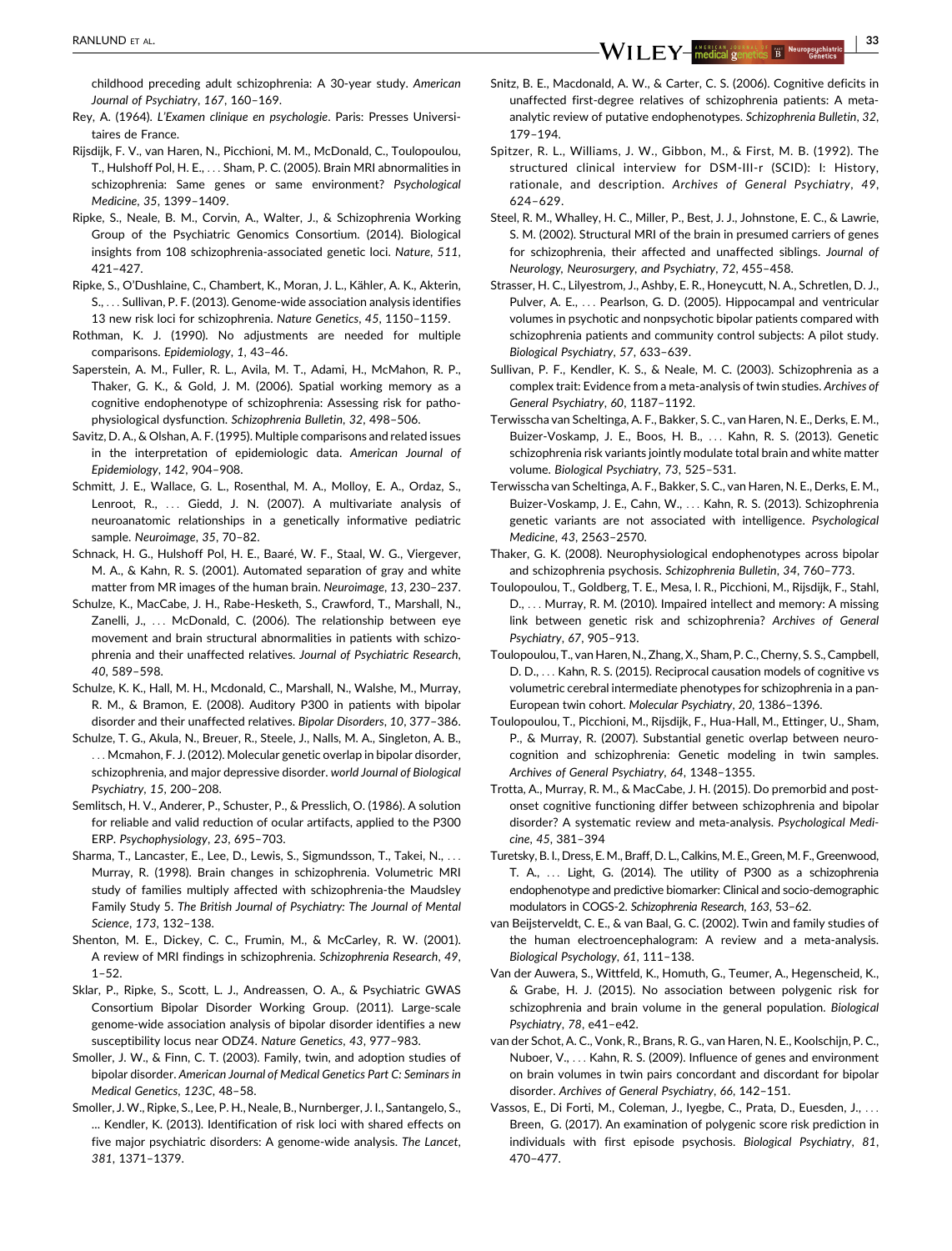<span id="page-12-0"></span>RANLUND ET AL. <sup>|</sup> <sup>33</sup>

childhood preceding adult schizophrenia: A 30-year study. American Journal of Psychiatry, 167, 160–169.

- Rey, A. (1964). L'Examen clinique en psychologie. Paris: Presses Universitaires de France.
- Rijsdijk, F. V., van Haren, N., Picchioni, M. M., McDonald, C., Toulopoulou, T., Hulshoff Pol, H. E., ... Sham, P. C. (2005). Brain MRI abnormalities in schizophrenia: Same genes or same environment? Psychological Medicine, 35, 1399–1409.
- Ripke, S., Neale, B. M., Corvin, A., Walter, J., & Schizophrenia Working Group of the Psychiatric Genomics Consortium. (2014). Biological insights from 108 schizophrenia-associated genetic loci. Nature, 511, 421–427.
- Ripke, S., O'Dushlaine, C., Chambert, K., Moran, J. L., Kähler, A. K., Akterin, S., ... Sullivan, P. F. (2013). Genome-wide association analysis identifies 13 new risk loci for schizophrenia. Nature Genetics, 45, 1150–1159.
- Rothman, K. J. (1990). No adjustments are needed for multiple comparisons. Epidemiology, 1, 43–46.
- Saperstein, A. M., Fuller, R. L., Avila, M. T., Adami, H., McMahon, R. P., Thaker, G. K., & Gold, J. M. (2006). Spatial working memory as a cognitive endophenotype of schizophrenia: Assessing risk for pathophysiological dysfunction. Schizophrenia Bulletin, 32, 498–506.
- Savitz, D. A., & Olshan, A. F. (1995). Multiple comparisons and related issues in the interpretation of epidemiologic data. American Journal of Epidemiology, 142, 904–908.
- Schmitt, J. E., Wallace, G. L., Rosenthal, M. A., Molloy, E. A., Ordaz, S., Lenroot, R., ... Giedd, J. N. (2007). A multivariate analysis of neuroanatomic relationships in a genetically informative pediatric sample. Neuroimage, 35, 70–82.
- Schnack, H. G., Hulshoff Pol, H. E., Baaré, W. F., Staal, W. G., Viergever, M. A., & Kahn, R. S. (2001). Automated separation of gray and white matter from MR images of the human brain. Neuroimage, 13, 230–237.
- Schulze, K., MacCabe, J. H., Rabe-Hesketh, S., Crawford, T., Marshall, N., Zanelli, J., ... McDonald, C. (2006). The relationship between eye movement and brain structural abnormalities in patients with schizophrenia and their unaffected relatives. Journal of Psychiatric Research, 40, 589–598.
- Schulze, K. K., Hall, M. H., Mcdonald, C., Marshall, N., Walshe, M., Murray, R. M., & Bramon, E. (2008). Auditory P300 in patients with bipolar disorder and their unaffected relatives. Bipolar Disorders, 10, 377–386.
- Schulze, T. G., Akula, N., Breuer, R., Steele, J., Nalls, M. A., Singleton, A. B., ... Mcmahon, F. J. (2012). Molecular genetic overlap in bipolar disorder, schizophrenia, and major depressive disorder. world Journal of Biological Psychiatry, 15, 200–208.
- Semlitsch, H. V., Anderer, P., Schuster, P., & Presslich, O. (1986). A solution for reliable and valid reduction of ocular artifacts, applied to the P300 ERP. Psychophysiology, 23, 695–703.
- Sharma, T., Lancaster, E., Lee, D., Lewis, S., Sigmundsson, T., Takei, N., ... Murray, R. (1998). Brain changes in schizophrenia. Volumetric MRI study of families multiply affected with schizophrenia-the Maudsley Family Study 5. The British Journal of Psychiatry: The Journal of Mental Science, 173, 132–138.
- Shenton, M. E., Dickey, C. C., Frumin, M., & McCarley, R. W. (2001). A review of MRI findings in schizophrenia. Schizophrenia Research, 49,  $1 - 52$
- Sklar, P., Ripke, S., Scott, L. J., Andreassen, O. A., & Psychiatric GWAS Consortium Bipolar Disorder Working Group. (2011). Large-scale genome-wide association analysis of bipolar disorder identifies a new susceptibility locus near ODZ4. Nature Genetics, 43, 977–983.
- Smoller, J. W., & Finn, C. T. (2003). Family, twin, and adoption studies of bipolar disorder. American Journal of Medical Genetics Part C: Seminars in Medical Genetics, 123C, 48–58.
- Smoller, J. W., Ripke, S., Lee, P. H., Neale, B., Nurnberger, J. I., Santangelo, S., ... Kendler, K. (2013). Identification of risk loci with shared effects on five major psychiatric disorders: A genome-wide analysis. The Lancet, 381, 1371–1379.
- Snitz, B. E., Macdonald, A. W., & Carter, C. S. (2006). Cognitive deficits in unaffected first-degree relatives of schizophrenia patients: A metaanalytic review of putative endophenotypes. Schizophrenia Bulletin, 32, 179–194.
- Spitzer, R. L., Williams, J. W., Gibbon, M., & First, M. B. (1992). The structured clinical interview for DSM-III-r (SCID): I: History, rationale, and description. Archives of General Psychiatry, 49, 624–629.
- Steel, R. M., Whalley, H. C., Miller, P., Best, J. J., Johnstone, E. C., & Lawrie, S. M. (2002). Structural MRI of the brain in presumed carriers of genes for schizophrenia, their affected and unaffected siblings. Journal of Neurology, Neurosurgery, and Psychiatry, 72, 455–458.
- Strasser, H. C., Lilyestrom, J., Ashby, E. R., Honeycutt, N. A., Schretlen, D. J., Pulver, A. E., ... Pearlson, G. D. (2005). Hippocampal and ventricular volumes in psychotic and nonpsychotic bipolar patients compared with schizophrenia patients and community control subjects: A pilot study. Biological Psychiatry, 57, 633–639.
- Sullivan, P. F., Kendler, K. S., & Neale, M. C. (2003). Schizophrenia as a complex trait: Evidence from a meta-analysis of twin studies. Archives of General Psychiatry, 60, 1187–1192.
- Terwisscha van Scheltinga, A. F., Bakker, S. C., van Haren, N. E., Derks, E. M., Buizer-Voskamp, J. E., Boos, H. B., ... Kahn, R. S. (2013). Genetic schizophrenia risk variants jointly modulate total brain and white matter volume. Biological Psychiatry, 73, 525–531.
- Terwisscha van Scheltinga, A. F., Bakker, S. C., van Haren, N. E., Derks, E. M., Buizer-Voskamp, J. E., Cahn, W., ... Kahn, R. S. (2013). Schizophrenia genetic variants are not associated with intelligence. Psychological Medicine, 43, 2563–2570.
- Thaker, G. K. (2008). Neurophysiological endophenotypes across bipolar and schizophrenia psychosis. Schizophrenia Bulletin, 34, 760–773.
- Toulopoulou, T., Goldberg, T. E., Mesa, I. R., Picchioni, M., Rijsdijk, F., Stahl, D., ... Murray, R. M. (2010). Impaired intellect and memory: A missing link between genetic risk and schizophrenia? Archives of General Psychiatry, 67, 905–913.
- Toulopoulou, T., van Haren, N., Zhang, X., Sham, P. C., Cherny, S. S., Campbell, D. D., ... Kahn, R. S. (2015). Reciprocal causation models of cognitive vs volumetric cerebral intermediate phenotypes for schizophrenia in a pan-European twin cohort. Molecular Psychiatry, 20, 1386–1396.
- Toulopoulou, T., Picchioni, M., Rijsdijk, F., Hua-Hall, M., Ettinger, U., Sham, P., & Murray, R. (2007). Substantial genetic overlap between neurocognition and schizophrenia: Genetic modeling in twin samples. Archives of General Psychiatry, 64, 1348–1355.
- Trotta, A., Murray, R. M., & MacCabe, J. H. (2015). Do premorbid and postonset cognitive functioning differ between schizophrenia and bipolar disorder? A systematic review and meta-analysis. Psychological Medicine, 45, 381–394
- Turetsky, B. I., Dress, E. M., Braff, D. L., Calkins, M. E., Green, M. F., Greenwood, T. A., ... Light, G. (2014). The utility of P300 as a schizophrenia endophenotype and predictive biomarker: Clinical and socio-demographic modulators in COGS-2. Schizophrenia Research, 163, 53–62.
- van Beijsterveldt, C. E., & van Baal, G. C. (2002). Twin and family studies of the human electroencephalogram: A review and a meta-analysis. Biological Psychology, 61, 111–138.
- Van der Auwera, S., Wittfeld, K., Homuth, G., Teumer, A., Hegenscheid, K., & Grabe, H. J. (2015). No association between polygenic risk for schizophrenia and brain volume in the general population. Biological Psychiatry, 78, e41–e42.
- van der Schot, A. C., Vonk, R., Brans, R. G., van Haren, N. E., Koolschijn, P. C., Nuboer, V., ... Kahn, R. S. (2009). Influence of genes and environment on brain volumes in twin pairs concordant and discordant for bipolar disorder. Archives of General Psychiatry, 66, 142–151.
- Vassos, E., Di Forti, M., Coleman, J., Iyegbe, C., Prata, D., Euesden, J., ... Breen, G. (2017). An examination of polygenic score risk prediction in individuals with first episode psychosis. Biological Psychiatry, 81, 470–477.